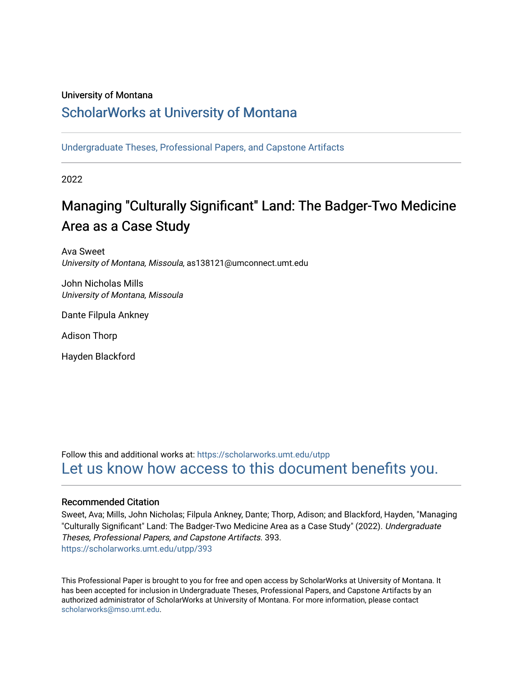# University of Montana

# [ScholarWorks at University of Montana](https://scholarworks.umt.edu/)

[Undergraduate Theses, Professional Papers, and Capstone Artifacts](https://scholarworks.umt.edu/utpp)

2022

# Managing "Culturally Significant" Land: The Badger-Two Medicine Area as a Case Study

Ava Sweet University of Montana, Missoula, as138121@umconnect.umt.edu

John Nicholas Mills University of Montana, Missoula

Dante Filpula Ankney

Adison Thorp

Hayden Blackford

Follow this and additional works at: [https://scholarworks.umt.edu/utpp](https://scholarworks.umt.edu/utpp?utm_source=scholarworks.umt.edu%2Futpp%2F393&utm_medium=PDF&utm_campaign=PDFCoverPages) [Let us know how access to this document benefits you.](https://goo.gl/forms/s2rGfXOLzz71qgsB2) 

#### Recommended Citation

Sweet, Ava; Mills, John Nicholas; Filpula Ankney, Dante; Thorp, Adison; and Blackford, Hayden, "Managing "Culturally Significant" Land: The Badger-Two Medicine Area as a Case Study" (2022). Undergraduate Theses, Professional Papers, and Capstone Artifacts. 393. [https://scholarworks.umt.edu/utpp/393](https://scholarworks.umt.edu/utpp/393?utm_source=scholarworks.umt.edu%2Futpp%2F393&utm_medium=PDF&utm_campaign=PDFCoverPages)

This Professional Paper is brought to you for free and open access by ScholarWorks at University of Montana. It has been accepted for inclusion in Undergraduate Theses, Professional Papers, and Capstone Artifacts by an authorized administrator of ScholarWorks at University of Montana. For more information, please contact [scholarworks@mso.umt.edu.](mailto:scholarworks@mso.umt.edu)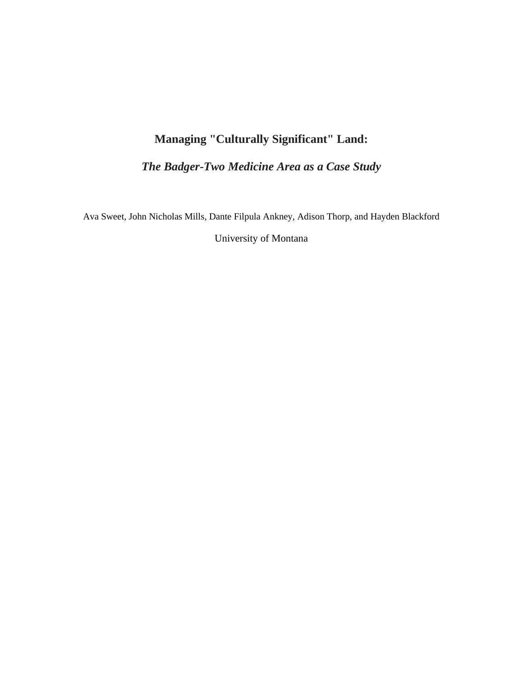# **Managing "Culturally Significant" Land:**

*The Badger-Two Medicine Area as a Case Study*

Ava Sweet, John Nicholas Mills, Dante Filpula Ankney, Adison Thorp, and Hayden Blackford

University of Montana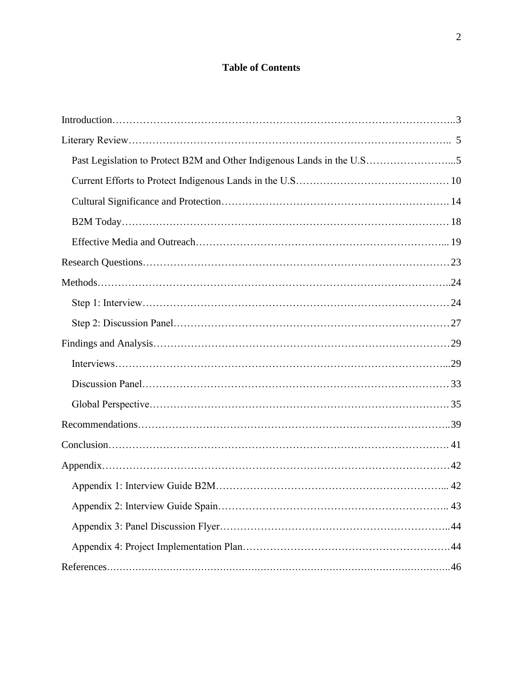# **Table of Contents**

| Past Legislation to Protect B2M and Other Indigenous Lands in the U.S5 |
|------------------------------------------------------------------------|
|                                                                        |
|                                                                        |
|                                                                        |
|                                                                        |
|                                                                        |
|                                                                        |
|                                                                        |
|                                                                        |
|                                                                        |
|                                                                        |
|                                                                        |
|                                                                        |
|                                                                        |
|                                                                        |
|                                                                        |
|                                                                        |
|                                                                        |
|                                                                        |
|                                                                        |
|                                                                        |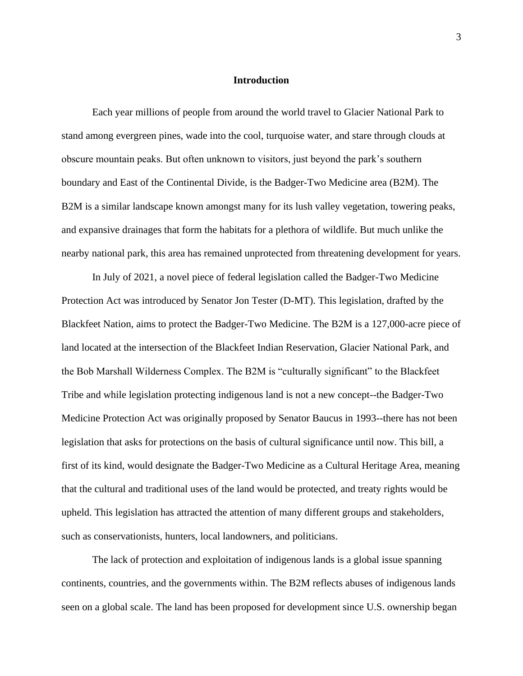#### **Introduction**

Each year millions of people from around the world travel to Glacier National Park to stand among evergreen pines, wade into the cool, turquoise water, and stare through clouds at obscure mountain peaks. But often unknown to visitors, just beyond the park's southern boundary and East of the Continental Divide, is the Badger-Two Medicine area (B2M). The B2M is a similar landscape known amongst many for its lush valley vegetation, towering peaks, and expansive drainages that form the habitats for a plethora of wildlife. But much unlike the nearby national park, this area has remained unprotected from threatening development for years.

In July of 2021, a novel piece of federal legislation called the Badger-Two Medicine Protection Act was introduced by Senator Jon Tester (D-MT). This legislation, drafted by the Blackfeet Nation, aims to protect the Badger-Two Medicine. The B2M is a 127,000-acre piece of land located at the intersection of the Blackfeet Indian Reservation, Glacier National Park, and the Bob Marshall Wilderness Complex. The B2M is "culturally significant" to the Blackfeet Tribe and while legislation protecting indigenous land is not a new concept--the Badger-Two Medicine Protection Act was originally proposed by Senator Baucus in 1993--there has not been legislation that asks for protections on the basis of cultural significance until now. This bill, a first of its kind, would designate the Badger-Two Medicine as a Cultural Heritage Area, meaning that the cultural and traditional uses of the land would be protected, and treaty rights would be upheld. This legislation has attracted the attention of many different groups and stakeholders, such as conservationists, hunters, local landowners, and politicians.

The lack of protection and exploitation of indigenous lands is a global issue spanning continents, countries, and the governments within. The B2M reflects abuses of indigenous lands seen on a global scale. The land has been proposed for development since U.S. ownership began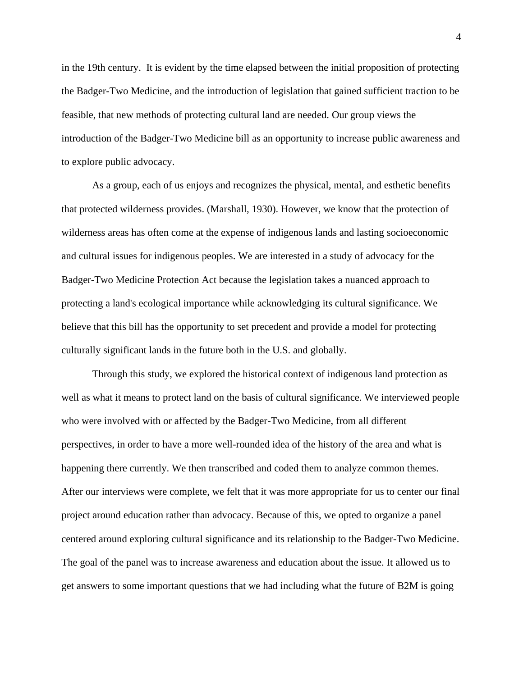in the 19th century. It is evident by the time elapsed between the initial proposition of protecting the Badger-Two Medicine, and the introduction of legislation that gained sufficient traction to be feasible, that new methods of protecting cultural land are needed. Our group views the introduction of the Badger-Two Medicine bill as an opportunity to increase public awareness and to explore public advocacy.

As a group, each of us enjoys and recognizes the physical, mental, and esthetic benefits that protected wilderness provides. (Marshall, 1930). However, we know that the protection of wilderness areas has often come at the expense of indigenous lands and lasting socioeconomic and cultural issues for indigenous peoples. We are interested in a study of advocacy for the Badger-Two Medicine Protection Act because the legislation takes a nuanced approach to protecting a land's ecological importance while acknowledging its cultural significance. We believe that this bill has the opportunity to set precedent and provide a model for protecting culturally significant lands in the future both in the U.S. and globally.

Through this study, we explored the historical context of indigenous land protection as well as what it means to protect land on the basis of cultural significance. We interviewed people who were involved with or affected by the Badger-Two Medicine, from all different perspectives, in order to have a more well-rounded idea of the history of the area and what is happening there currently. We then transcribed and coded them to analyze common themes. After our interviews were complete, we felt that it was more appropriate for us to center our final project around education rather than advocacy. Because of this, we opted to organize a panel centered around exploring cultural significance and its relationship to the Badger-Two Medicine. The goal of the panel was to increase awareness and education about the issue. It allowed us to get answers to some important questions that we had including what the future of B2M is going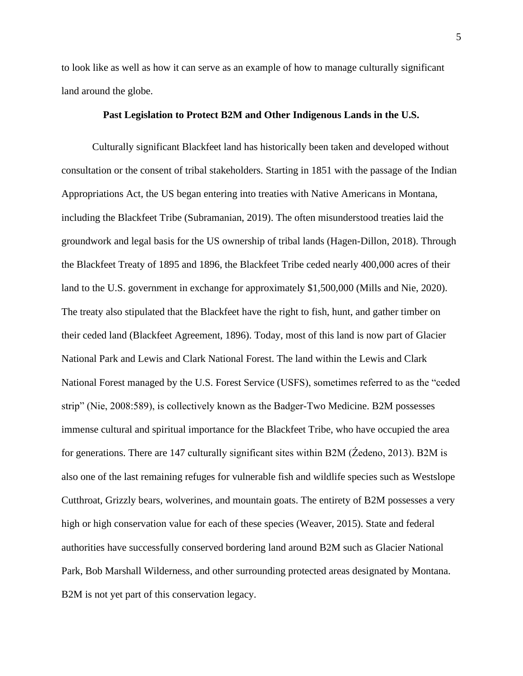to look like as well as how it can serve as an example of how to manage culturally significant land around the globe.

#### **Past Legislation to Protect B2M and Other Indigenous Lands in the U.S.**

Culturally significant Blackfeet land has historically been taken and developed without consultation or the consent of tribal stakeholders. Starting in 1851 with the passage of the Indian Appropriations Act, the US began entering into treaties with Native Americans in Montana, including the Blackfeet Tribe (Subramanian, 2019). The often misunderstood treaties laid the groundwork and legal basis for the US ownership of tribal lands (Hagen-Dillon, 2018). Through the Blackfeet Treaty of 1895 and 1896, the Blackfeet Tribe ceded nearly 400,000 acres of their land to the U.S. government in exchange for approximately \$1,500,000 (Mills and Nie, 2020). The treaty also stipulated that the Blackfeet have the right to fish, hunt, and gather timber on their ceded land (Blackfeet Agreement, 1896). Today, most of this land is now part of Glacier National Park and Lewis and Clark National Forest. The land within the Lewis and Clark National Forest managed by the U.S. Forest Service (USFS), sometimes referred to as the "ceded strip" (Nie, 2008:589), is collectively known as the Badger-Two Medicine. B2M possesses immense cultural and spiritual importance for the Blackfeet Tribe, who have occupied the area for generations. There are 147 culturally significant sites within B2M (Źedeno, 2013). B2M is also one of the last remaining refuges for vulnerable fish and wildlife species such as Westslope Cutthroat, Grizzly bears, wolverines, and mountain goats. The entirety of B2M possesses a very high or high conservation value for each of these species (Weaver, 2015). State and federal authorities have successfully conserved bordering land around B2M such as Glacier National Park, Bob Marshall Wilderness, and other surrounding protected areas designated by Montana. B2M is not yet part of this conservation legacy.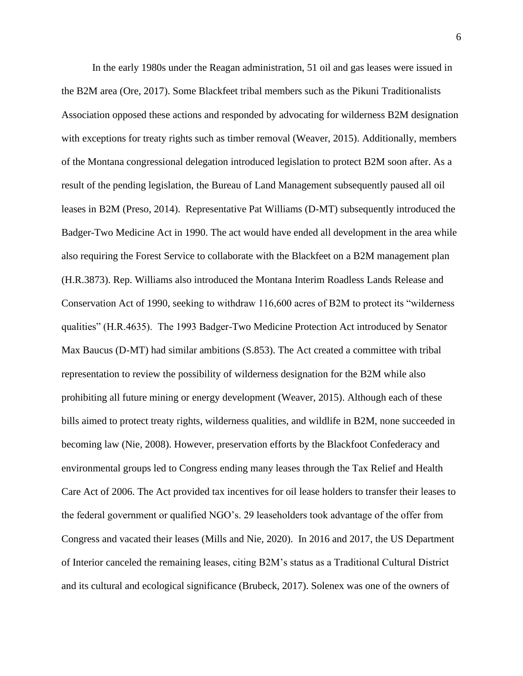In the early 1980s under the Reagan administration, 51 oil and gas leases were issued in the B2M area (Ore, 2017). Some Blackfeet tribal members such as the Pikuni Traditionalists Association opposed these actions and responded by advocating for wilderness B2M designation with exceptions for treaty rights such as timber removal (Weaver, 2015). Additionally, members of the Montana congressional delegation introduced legislation to protect B2M soon after. As a result of the pending legislation, the Bureau of Land Management subsequently paused all oil leases in B2M (Preso, 2014). Representative Pat Williams (D-MT) subsequently introduced the Badger-Two Medicine Act in 1990. The act would have ended all development in the area while also requiring the Forest Service to collaborate with the Blackfeet on a B2M management plan (H.R.3873). Rep. Williams also introduced the Montana Interim Roadless Lands Release and Conservation Act of 1990, seeking to withdraw 116,600 acres of B2M to protect its "wilderness qualities" (H.R.4635). The 1993 Badger-Two Medicine Protection Act introduced by Senator Max Baucus (D-MT) had similar ambitions (S.853). The Act created a committee with tribal representation to review the possibility of wilderness designation for the B2M while also prohibiting all future mining or energy development (Weaver, 2015). Although each of these bills aimed to protect treaty rights, wilderness qualities, and wildlife in B2M, none succeeded in becoming law (Nie, 2008). However, preservation efforts by the Blackfoot Confederacy and environmental groups led to Congress ending many leases through the Tax Relief and Health Care Act of 2006. The Act provided tax incentives for oil lease holders to transfer their leases to the federal government or qualified NGO's. 29 leaseholders took advantage of the offer from Congress and vacated their leases (Mills and Nie, 2020). In 2016 and 2017, the US Department of Interior canceled the remaining leases, citing B2M's status as a Traditional Cultural District and its cultural and ecological significance (Brubeck, 2017). Solenex was one of the owners of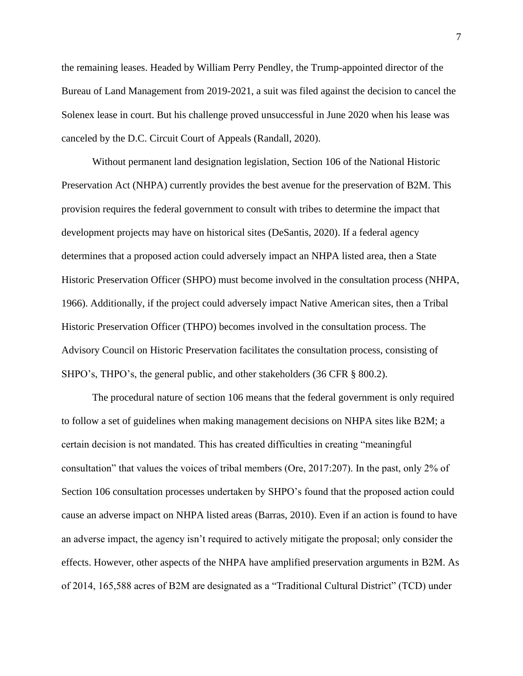the remaining leases. Headed by William Perry Pendley, the Trump-appointed director of the Bureau of Land Management from 2019-2021, a suit was filed against the decision to cancel the Solenex lease in court. But his challenge proved unsuccessful in June 2020 when his lease was canceled by the D.C. Circuit Court of Appeals (Randall, 2020).

Without permanent land designation legislation, Section 106 of the National Historic Preservation Act (NHPA) currently provides the best avenue for the preservation of B2M. This provision requires the federal government to consult with tribes to determine the impact that development projects may have on historical sites (DeSantis, 2020). If a federal agency determines that a proposed action could adversely impact an NHPA listed area, then a State Historic Preservation Officer (SHPO) must become involved in the consultation process (NHPA, 1966). Additionally, if the project could adversely impact Native American sites, then a Tribal Historic Preservation Officer (THPO) becomes involved in the consultation process. The Advisory Council on Historic Preservation facilitates the consultation process, consisting of SHPO's, THPO's, the general public, and other stakeholders (36 CFR § 800.2).

The procedural nature of section 106 means that the federal government is only required to follow a set of guidelines when making management decisions on NHPA sites like B2M; a certain decision is not mandated. This has created difficulties in creating "meaningful consultation" that values the voices of tribal members (Ore, 2017:207). In the past, only 2% of Section 106 consultation processes undertaken by SHPO's found that the proposed action could cause an adverse impact on NHPA listed areas (Barras, 2010). Even if an action is found to have an adverse impact, the agency isn't required to actively mitigate the proposal; only consider the effects. However, other aspects of the NHPA have amplified preservation arguments in B2M. As of 2014, 165,588 acres of B2M are designated as a "Traditional Cultural District" (TCD) under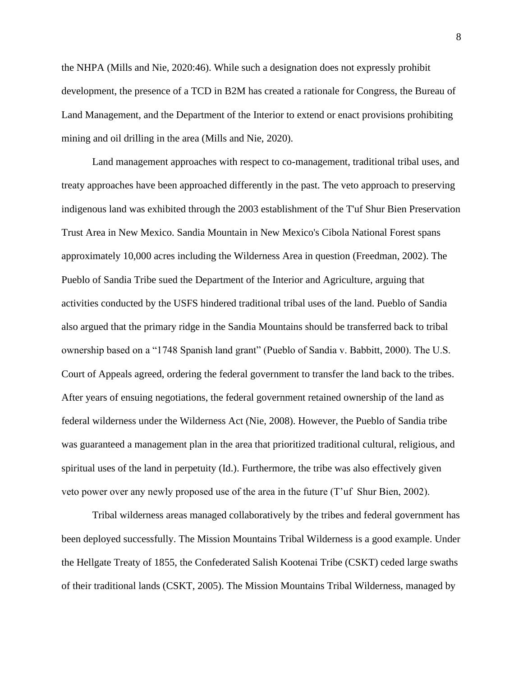the NHPA (Mills and Nie, 2020:46). While such a designation does not expressly prohibit development, the presence of a TCD in B2M has created a rationale for Congress, the Bureau of Land Management, and the Department of the Interior to extend or enact provisions prohibiting mining and oil drilling in the area (Mills and Nie, 2020).

Land management approaches with respect to co-management, traditional tribal uses, and treaty approaches have been approached differently in the past. The veto approach to preserving indigenous land was exhibited through the 2003 establishment of the T'uf Shur Bien Preservation Trust Area in New Mexico. Sandia Mountain in New Mexico's Cibola National Forest spans approximately 10,000 acres including the Wilderness Area in question (Freedman, 2002). The Pueblo of Sandia Tribe sued the Department of the Interior and Agriculture, arguing that activities conducted by the USFS hindered traditional tribal uses of the land. Pueblo of Sandia also argued that the primary ridge in the Sandia Mountains should be transferred back to tribal ownership based on a "1748 Spanish land grant" (Pueblo of Sandia v. Babbitt, 2000). The U.S. Court of Appeals agreed, ordering the federal government to transfer the land back to the tribes. After years of ensuing negotiations, the federal government retained ownership of the land as federal wilderness under the Wilderness Act (Nie, 2008). However, the Pueblo of Sandia tribe was guaranteed a management plan in the area that prioritized traditional cultural, religious, and spiritual uses of the land in perpetuity (Id.). Furthermore, the tribe was also effectively given veto power over any newly proposed use of the area in the future (T'uf Shur Bien, 2002).

Tribal wilderness areas managed collaboratively by the tribes and federal government has been deployed successfully. The Mission Mountains Tribal Wilderness is a good example. Under the Hellgate Treaty of 1855, the Confederated Salish Kootenai Tribe (CSKT) ceded large swaths of their traditional lands (CSKT, 2005). The Mission Mountains Tribal Wilderness, managed by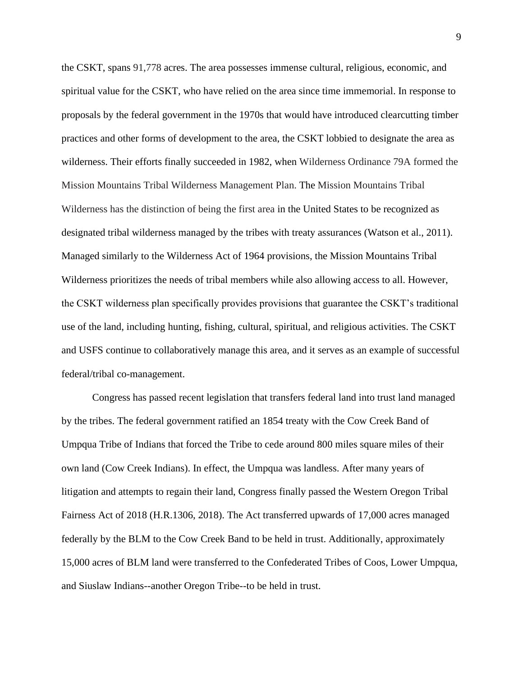the CSKT, spans 91,778 acres. The area possesses immense cultural, religious, economic, and spiritual value for the CSKT, who have relied on the area since time immemorial. In response to proposals by the federal government in the 1970s that would have introduced clearcutting timber practices and other forms of development to the area, the CSKT lobbied to designate the area as wilderness. Their efforts finally succeeded in 1982, when Wilderness Ordinance 79A formed the Mission Mountains Tribal Wilderness Management Plan. The Mission Mountains Tribal Wilderness has the distinction of being the first area in the United States to be recognized as designated tribal wilderness managed by the tribes with treaty assurances (Watson et al., 2011). Managed similarly to the Wilderness Act of 1964 provisions, the Mission Mountains Tribal Wilderness prioritizes the needs of tribal members while also allowing access to all. However, the CSKT wilderness plan specifically provides provisions that guarantee the CSKT's traditional use of the land, including hunting, fishing, cultural, spiritual, and religious activities. The CSKT and USFS continue to collaboratively manage this area, and it serves as an example of successful federal/tribal co-management.

Congress has passed recent legislation that transfers federal land into trust land managed by the tribes. The federal government ratified an 1854 treaty with the Cow Creek Band of Umpqua Tribe of Indians that forced the Tribe to cede around 800 miles square miles of their own land (Cow Creek Indians). In effect, the Umpqua was landless. After many years of litigation and attempts to regain their land, Congress finally passed the Western Oregon Tribal Fairness Act of 2018 (H.R.1306, 2018). The Act transferred upwards of 17,000 acres managed federally by the BLM to the Cow Creek Band to be held in trust. Additionally, approximately 15,000 acres of BLM land were transferred to the Confederated Tribes of Coos, Lower Umpqua, and Siuslaw Indians--another Oregon Tribe--to be held in trust.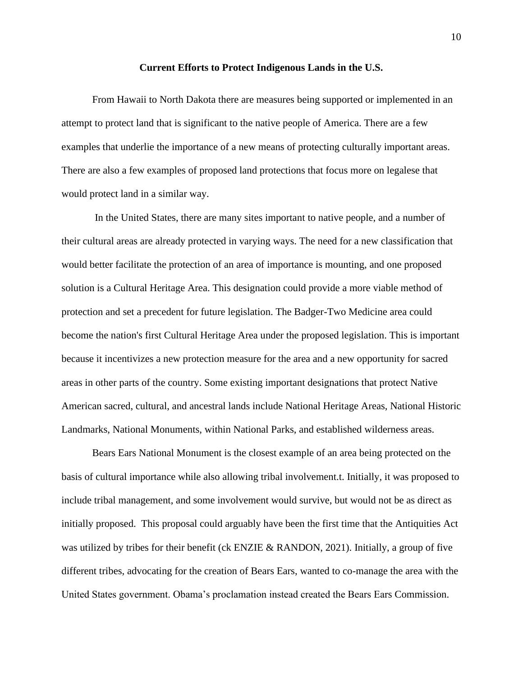#### **Current Efforts to Protect Indigenous Lands in the U.S.**

From Hawaii to North Dakota there are measures being supported or implemented in an attempt to protect land that is significant to the native people of America. There are a few examples that underlie the importance of a new means of protecting culturally important areas. There are also a few examples of proposed land protections that focus more on legalese that would protect land in a similar way.

In the United States, there are many sites important to native people, and a number of their cultural areas are already protected in varying ways. The need for a new classification that would better facilitate the protection of an area of importance is mounting, and one proposed solution is a Cultural Heritage Area. This designation could provide a more viable method of protection and set a precedent for future legislation. The Badger-Two Medicine area could become the nation's first Cultural Heritage Area under the proposed legislation. This is important because it incentivizes a new protection measure for the area and a new opportunity for sacred areas in other parts of the country. Some existing important designations that protect Native American sacred, cultural, and ancestral lands include National Heritage Areas, National Historic Landmarks, National Monuments, within National Parks, and established wilderness areas.

Bears Ears National Monument is the closest example of an area being protected on the basis of cultural importance while also allowing tribal involvement.t. Initially, it was proposed to include tribal management, and some involvement would survive, but would not be as direct as initially proposed. This proposal could arguably have been the first time that the Antiquities Act was utilized by tribes for their benefit (ck ENZIE & RANDON, 2021). Initially, a group of five different tribes, advocating for the creation of Bears Ears, wanted to co-manage the area with the United States government. Obama's proclamation instead created the Bears Ears Commission.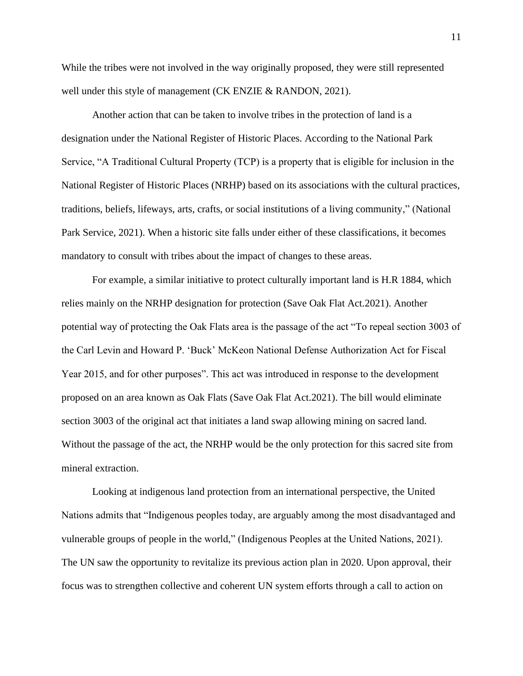While the tribes were not involved in the way originally proposed, they were still represented well under this style of management (CK ENZIE & RANDON, 2021).

Another action that can be taken to involve tribes in the protection of land is a designation under the National Register of Historic Places. According to the National Park Service, "A Traditional Cultural Property (TCP) is a property that is eligible for inclusion in the National Register of Historic Places (NRHP) based on its associations with the cultural practices, traditions, beliefs, lifeways, arts, crafts, or social institutions of a living community," (National Park Service, 2021). When a historic site falls under either of these classifications, it becomes mandatory to consult with tribes about the impact of changes to these areas.

For example, a similar initiative to protect culturally important land is H.R 1884, which relies mainly on the NRHP designation for protection (Save Oak Flat Act.2021). Another potential way of protecting the Oak Flats area is the passage of the act "To repeal section 3003 of the Carl Levin and Howard P. 'Buck' McKeon National Defense Authorization Act for Fiscal Year 2015, and for other purposes". This act was introduced in response to the development proposed on an area known as Oak Flats (Save Oak Flat Act.2021). The bill would eliminate section 3003 of the original act that initiates a land swap allowing mining on sacred land. Without the passage of the act, the NRHP would be the only protection for this sacred site from mineral extraction.

Looking at indigenous land protection from an international perspective, the United Nations admits that "Indigenous peoples today, are arguably among the most disadvantaged and vulnerable groups of people in the world," (Indigenous Peoples at the United Nations, 2021). The UN saw the opportunity to revitalize its previous action plan in 2020. Upon approval, their focus was to strengthen collective and coherent UN system efforts through a call to action on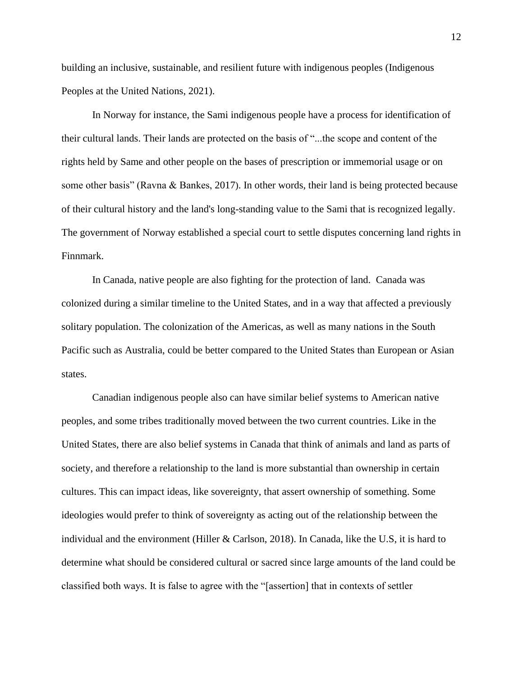building an inclusive, sustainable, and resilient future with indigenous peoples (Indigenous Peoples at the United Nations, 2021).

In Norway for instance, the Sami indigenous people have a process for identification of their cultural lands. Their lands are protected on the basis of "...the scope and content of the rights held by Same and other people on the bases of prescription or immemorial usage or on some other basis" (Ravna & Bankes, 2017). In other words, their land is being protected because of their cultural history and the land's long-standing value to the Sami that is recognized legally. The government of Norway established a special court to settle disputes concerning land rights in Finnmark.

In Canada, native people are also fighting for the protection of land. Canada was colonized during a similar timeline to the United States, and in a way that affected a previously solitary population. The colonization of the Americas, as well as many nations in the South Pacific such as Australia, could be better compared to the United States than European or Asian states.

Canadian indigenous people also can have similar belief systems to American native peoples, and some tribes traditionally moved between the two current countries. Like in the United States, there are also belief systems in Canada that think of animals and land as parts of society, and therefore a relationship to the land is more substantial than ownership in certain cultures. This can impact ideas, like sovereignty, that assert ownership of something. Some ideologies would prefer to think of sovereignty as acting out of the relationship between the individual and the environment (Hiller & Carlson, 2018). In Canada, like the U.S, it is hard to determine what should be considered cultural or sacred since large amounts of the land could be classified both ways. It is false to agree with the "[assertion] that in contexts of settler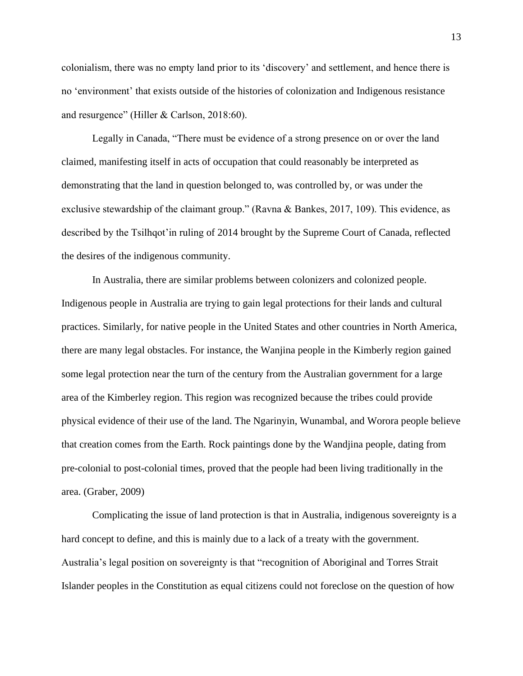colonialism, there was no empty land prior to its 'discovery' and settlement, and hence there is no 'environment' that exists outside of the histories of colonization and Indigenous resistance and resurgence" (Hiller & Carlson, 2018:60).

Legally in Canada, "There must be evidence of a strong presence on or over the land claimed, manifesting itself in acts of occupation that could reasonably be interpreted as demonstrating that the land in question belonged to, was controlled by, or was under the exclusive stewardship of the claimant group." (Ravna & Bankes, 2017, 109). This evidence, as described by the Tsilhqot'in ruling of 2014 brought by the Supreme Court of Canada, reflected the desires of the indigenous community.

In Australia, there are similar problems between colonizers and colonized people. Indigenous people in Australia are trying to gain legal protections for their lands and cultural practices. Similarly, for native people in the United States and other countries in North America, there are many legal obstacles. For instance, the Wanjina people in the Kimberly region gained some legal protection near the turn of the century from the Australian government for a large area of the Kimberley region. This region was recognized because the tribes could provide physical evidence of their use of the land. The Ngarinyin, Wunambal, and Worora people believe that creation comes from the Earth. Rock paintings done by the Wandjina people, dating from pre-colonial to post-colonial times, proved that the people had been living traditionally in the area. (Graber, 2009)

Complicating the issue of land protection is that in Australia, indigenous sovereignty is a hard concept to define, and this is mainly due to a lack of a treaty with the government. Australia's legal position on sovereignty is that "recognition of Aboriginal and Torres Strait Islander peoples in the Constitution as equal citizens could not foreclose on the question of how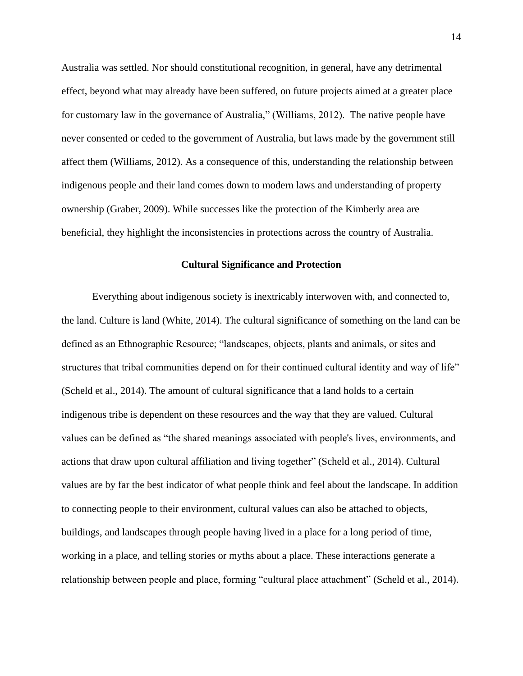Australia was settled. Nor should constitutional recognition, in general, have any detrimental effect, beyond what may already have been suffered, on future projects aimed at a greater place for customary law in the governance of Australia," (Williams, 2012). The native people have never consented or ceded to the government of Australia, but laws made by the government still affect them (Williams, 2012). As a consequence of this, understanding the relationship between indigenous people and their land comes down to modern laws and understanding of property ownership (Graber, 2009). While successes like the protection of the Kimberly area are beneficial, they highlight the inconsistencies in protections across the country of Australia.

#### **Cultural Significance and Protection**

Everything about indigenous society is inextricably interwoven with, and connected to, the land. Culture is land (White, 2014). The cultural significance of something on the land can be defined as an Ethnographic Resource; "landscapes, objects, plants and animals, or sites and structures that tribal communities depend on for their continued cultural identity and way of life" (Scheld et al., 2014). The amount of cultural significance that a land holds to a certain indigenous tribe is dependent on these resources and the way that they are valued. Cultural values can be defined as "the shared meanings associated with people's lives, environments, and actions that draw upon cultural affiliation and living together" (Scheld et al., 2014). Cultural values are by far the best indicator of what people think and feel about the landscape. In addition to connecting people to their environment, cultural values can also be attached to objects, buildings, and landscapes through people having lived in a place for a long period of time, working in a place, and telling stories or myths about a place. These interactions generate a relationship between people and place, forming "cultural place attachment" (Scheld et al., 2014).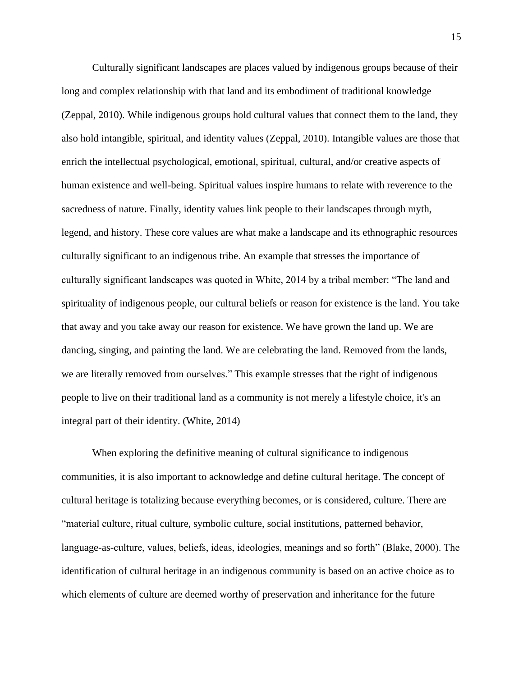Culturally significant landscapes are places valued by indigenous groups because of their long and complex relationship with that land and its embodiment of traditional knowledge (Zeppal, 2010). While indigenous groups hold cultural values that connect them to the land, they also hold intangible, spiritual, and identity values (Zeppal, 2010). Intangible values are those that enrich the intellectual psychological, emotional, spiritual, cultural, and/or creative aspects of human existence and well-being. Spiritual values inspire humans to relate with reverence to the sacredness of nature. Finally, identity values link people to their landscapes through myth, legend, and history. These core values are what make a landscape and its ethnographic resources culturally significant to an indigenous tribe. An example that stresses the importance of culturally significant landscapes was quoted in White, 2014 by a tribal member: "The land and spirituality of indigenous people, our cultural beliefs or reason for existence is the land. You take that away and you take away our reason for existence. We have grown the land up. We are dancing, singing, and painting the land. We are celebrating the land. Removed from the lands, we are literally removed from ourselves." This example stresses that the right of indigenous people to live on their traditional land as a community is not merely a lifestyle choice, it's an integral part of their identity. (White, 2014)

 When exploring the definitive meaning of cultural significance to indigenous communities, it is also important to acknowledge and define cultural heritage. The concept of cultural heritage is totalizing because everything becomes, or is considered, culture. There are "material culture, ritual culture, symbolic culture, social institutions, patterned behavior, language-as-culture, values, beliefs, ideas, ideologies, meanings and so forth" (Blake, 2000). The identification of cultural heritage in an indigenous community is based on an active choice as to which elements of culture are deemed worthy of preservation and inheritance for the future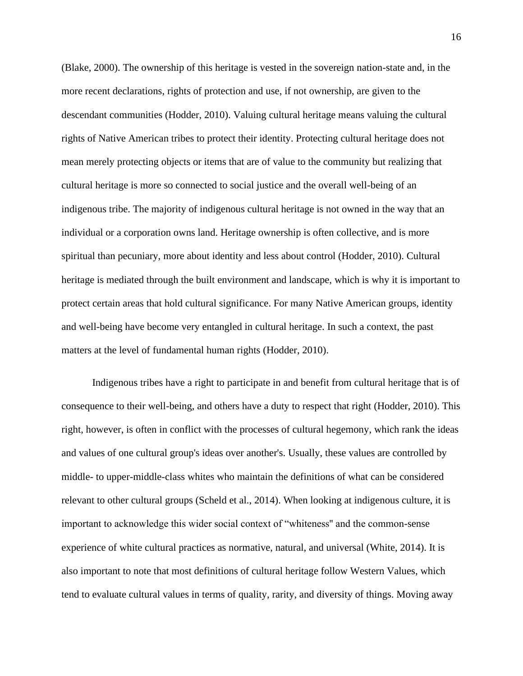(Blake, 2000). The ownership of this heritage is vested in the sovereign nation-state and, in the more recent declarations, rights of protection and use, if not ownership, are given to the descendant communities (Hodder, 2010). Valuing cultural heritage means valuing the cultural rights of Native American tribes to protect their identity. Protecting cultural heritage does not mean merely protecting objects or items that are of value to the community but realizing that cultural heritage is more so connected to social justice and the overall well-being of an indigenous tribe. The majority of indigenous cultural heritage is not owned in the way that an individual or a corporation owns land. Heritage ownership is often collective, and is more spiritual than pecuniary, more about identity and less about control (Hodder, 2010). Cultural heritage is mediated through the built environment and landscape, which is why it is important to protect certain areas that hold cultural significance. For many Native American groups, identity and well-being have become very entangled in cultural heritage. In such a context, the past matters at the level of fundamental human rights (Hodder, 2010).

Indigenous tribes have a right to participate in and benefit from cultural heritage that is of consequence to their well-being, and others have a duty to respect that right (Hodder, 2010). This right, however, is often in conflict with the processes of cultural hegemony, which rank the ideas and values of one cultural group's ideas over another's. Usually, these values are controlled by middle- to upper-middle-class whites who maintain the definitions of what can be considered relevant to other cultural groups (Scheld et al., 2014). When looking at indigenous culture, it is important to acknowledge this wider social context of "whiteness'' and the common-sense experience of white cultural practices as normative, natural, and universal (White, 2014). It is also important to note that most definitions of cultural heritage follow Western Values, which tend to evaluate cultural values in terms of quality, rarity, and diversity of things. Moving away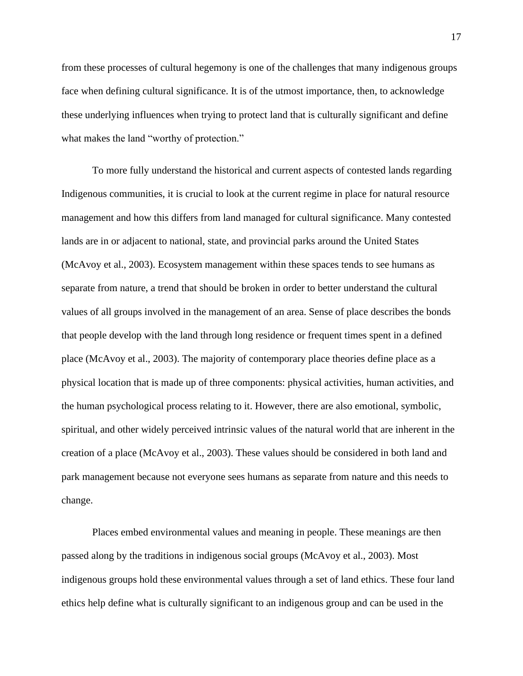from these processes of cultural hegemony is one of the challenges that many indigenous groups face when defining cultural significance. It is of the utmost importance, then, to acknowledge these underlying influences when trying to protect land that is culturally significant and define what makes the land "worthy of protection."

To more fully understand the historical and current aspects of contested lands regarding Indigenous communities, it is crucial to look at the current regime in place for natural resource management and how this differs from land managed for cultural significance. Many contested lands are in or adjacent to national, state, and provincial parks around the United States (McAvoy et al., 2003). Ecosystem management within these spaces tends to see humans as separate from nature, a trend that should be broken in order to better understand the cultural values of all groups involved in the management of an area. Sense of place describes the bonds that people develop with the land through long residence or frequent times spent in a defined place (McAvoy et al., 2003). The majority of contemporary place theories define place as a physical location that is made up of three components: physical activities, human activities, and the human psychological process relating to it. However, there are also emotional, symbolic, spiritual, and other widely perceived intrinsic values of the natural world that are inherent in the creation of a place (McAvoy et al., 2003). These values should be considered in both land and park management because not everyone sees humans as separate from nature and this needs to change.

Places embed environmental values and meaning in people. These meanings are then passed along by the traditions in indigenous social groups (McAvoy et al., 2003). Most indigenous groups hold these environmental values through a set of land ethics. These four land ethics help define what is culturally significant to an indigenous group and can be used in the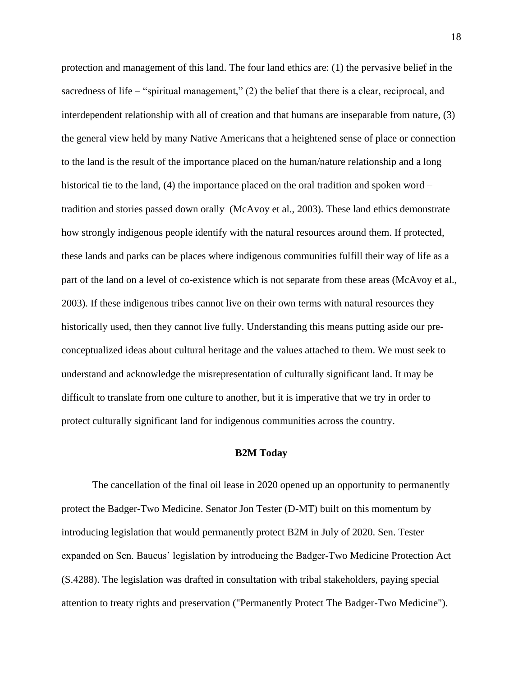protection and management of this land. The four land ethics are: (1) the pervasive belief in the sacredness of life – "spiritual management," (2) the belief that there is a clear, reciprocal, and interdependent relationship with all of creation and that humans are inseparable from nature, (3) the general view held by many Native Americans that a heightened sense of place or connection to the land is the result of the importance placed on the human/nature relationship and a long historical tie to the land, (4) the importance placed on the oral tradition and spoken word – tradition and stories passed down orally (McAvoy et al., 2003). These land ethics demonstrate how strongly indigenous people identify with the natural resources around them. If protected, these lands and parks can be places where indigenous communities fulfill their way of life as a part of the land on a level of co-existence which is not separate from these areas (McAvoy et al., 2003). If these indigenous tribes cannot live on their own terms with natural resources they historically used, then they cannot live fully. Understanding this means putting aside our preconceptualized ideas about cultural heritage and the values attached to them. We must seek to understand and acknowledge the misrepresentation of culturally significant land. It may be difficult to translate from one culture to another, but it is imperative that we try in order to protect culturally significant land for indigenous communities across the country.

#### **B2M Today**

 The cancellation of the final oil lease in 2020 opened up an opportunity to permanently protect the Badger-Two Medicine. Senator Jon Tester (D-MT) built on this momentum by introducing legislation that would permanently protect B2M in July of 2020. Sen. Tester expanded on Sen. Baucus' legislation by introducing the Badger-Two Medicine Protection Act (S.4288). The legislation was drafted in consultation with tribal stakeholders, paying special attention to treaty rights and preservation ("Permanently Protect The Badger-Two Medicine").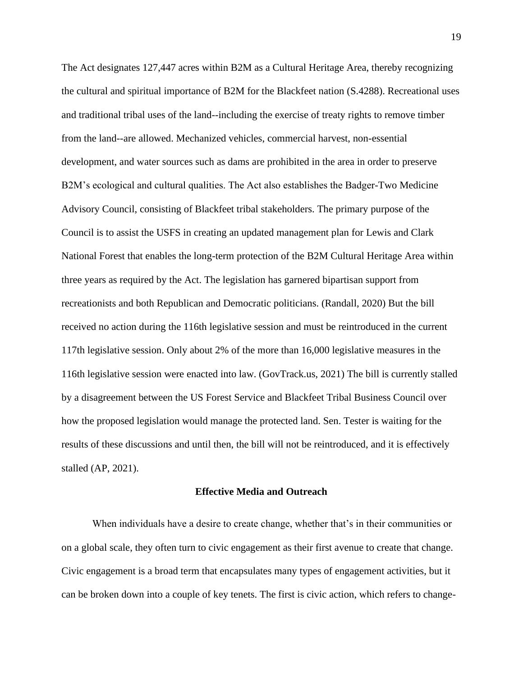The Act designates 127,447 acres within B2M as a Cultural Heritage Area, thereby recognizing the cultural and spiritual importance of B2M for the Blackfeet nation (S.4288). Recreational uses and traditional tribal uses of the land--including the exercise of treaty rights to remove timber from the land--are allowed. Mechanized vehicles, commercial harvest, non-essential development, and water sources such as dams are prohibited in the area in order to preserve B2M's ecological and cultural qualities. The Act also establishes the Badger-Two Medicine Advisory Council, consisting of Blackfeet tribal stakeholders. The primary purpose of the Council is to assist the USFS in creating an updated management plan for Lewis and Clark National Forest that enables the long-term protection of the B2M Cultural Heritage Area within three years as required by the Act. The legislation has garnered bipartisan support from recreationists and both Republican and Democratic politicians. (Randall, 2020) But the bill received no action during the 116th legislative session and must be reintroduced in the current 117th legislative session. Only about 2% of the more than 16,000 legislative measures in the 116th legislative session were enacted into law. (GovTrack.us, 2021) The bill is currently stalled by a disagreement between the US Forest Service and Blackfeet Tribal Business Council over how the proposed legislation would manage the protected land. Sen. Tester is waiting for the results of these discussions and until then, the bill will not be reintroduced, and it is effectively stalled (AP, 2021).

#### **Effective Media and Outreach**

 When individuals have a desire to create change, whether that's in their communities or on a global scale, they often turn to civic engagement as their first avenue to create that change. Civic engagement is a broad term that encapsulates many types of engagement activities, but it can be broken down into a couple of key tenets. The first is civic action, which refers to change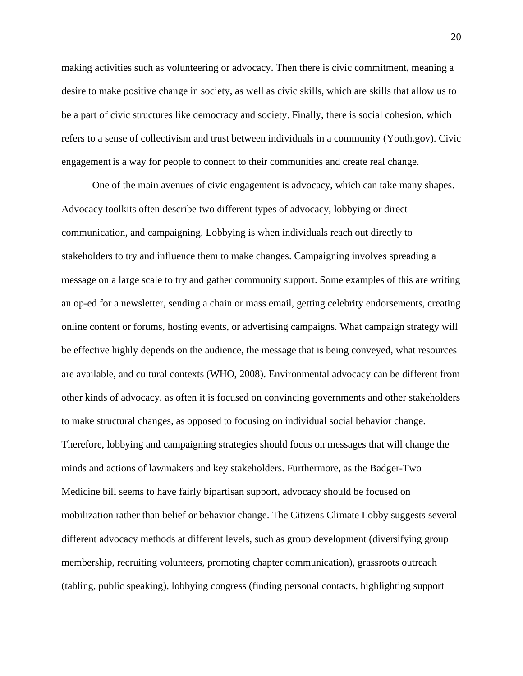making activities such as volunteering or advocacy. Then there is civic commitment, meaning a desire to make positive change in society, as well as civic skills, which are skills that allow us to be a part of civic structures like democracy and society. Finally, there is social cohesion, which refers to a sense of collectivism and trust between individuals in a community (Youth.gov). Civic engagement is a way for people to connect to their communities and create real change.

One of the main avenues of civic engagement is advocacy, which can take many shapes. Advocacy toolkits often describe two different types of advocacy, lobbying or direct communication, and campaigning. Lobbying is when individuals reach out directly to stakeholders to try and influence them to make changes. Campaigning involves spreading a message on a large scale to try and gather community support. Some examples of this are writing an op-ed for a newsletter, sending a chain or mass email, getting celebrity endorsements, creating online content or forums, hosting events, or advertising campaigns. What campaign strategy will be effective highly depends on the audience, the message that is being conveyed, what resources are available, and cultural contexts (WHO, 2008). Environmental advocacy can be different from other kinds of advocacy, as often it is focused on convincing governments and other stakeholders to make structural changes, as opposed to focusing on individual social behavior change. Therefore, lobbying and campaigning strategies should focus on messages that will change the minds and actions of lawmakers and key stakeholders. Furthermore, as the Badger-Two Medicine bill seems to have fairly bipartisan support, advocacy should be focused on mobilization rather than belief or behavior change. The Citizens Climate Lobby suggests several different advocacy methods at different levels, such as group development (diversifying group membership, recruiting volunteers, promoting chapter communication), grassroots outreach (tabling, public speaking), lobbying congress (finding personal contacts, highlighting support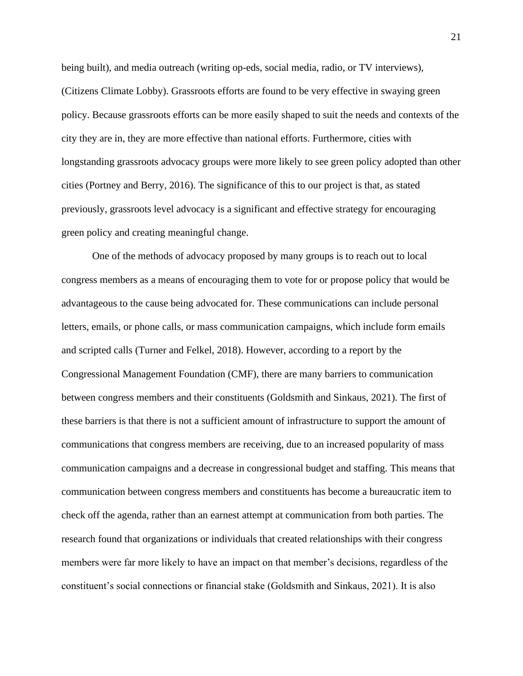being built), and media outreach (writing op-eds, social media, radio, or TV interviews), (Citizens Climate Lobby). Grassroots efforts are found to be very effective in swaying green policy. Because grassroots efforts can be more easily shaped to suit the needs and contexts of the city they are in, they are more effective than national efforts. Furthermore, cities with longstanding grassroots advocacy groups were more likely to see green policy adopted than other cities (Portney and Berry, 2016). The significance of this to our project is that, as stated previously, grassroots level advocacy is a significant and effective strategy for encouraging green policy and creating meaningful change.

 One of the methods of advocacy proposed by many groups is to reach out to local congress members as a means of encouraging them to vote for or propose policy that would be advantageous to the cause being advocated for. These communications can include personal letters, emails, or phone calls, or mass communication campaigns, which include form emails and scripted calls (Turner and Felkel, 2018). However, according to a report by the Congressional Management Foundation (CMF), there are many barriers to communication between congress members and their constituents (Goldsmith and Sinkaus, 2021). The first of these barriers is that there is not a sufficient amount of infrastructure to support the amount of communications that congress members are receiving, due to an increased popularity of mass communication campaigns and a decrease in congressional budget and staffing. This means that communication between congress members and constituents has become a bureaucratic item to check off the agenda, rather than an earnest attempt at communication from both parties. The research found that organizations or individuals that created relationships with their congress members were far more likely to have an impact on that member's decisions, regardless of the constituent's social connections or financial stake (Goldsmith and Sinkaus, 2021). It is also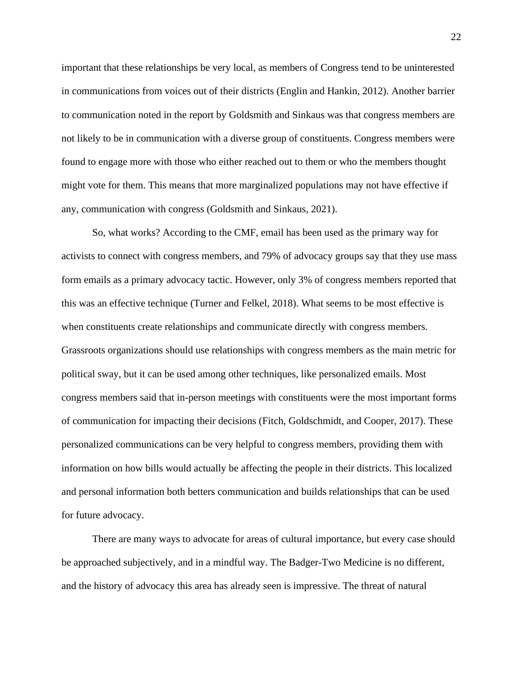important that these relationships be very local, as members of Congress tend to be uninterested in communications from voices out of their districts (Englin and Hankin, 2012). Another barrier to communication noted in the report by Goldsmith and Sinkaus was that congress members are not likely to be in communication with a diverse group of constituents. Congress members were found to engage more with those who either reached out to them or who the members thought might vote for them. This means that more marginalized populations may not have effective if any, communication with congress (Goldsmith and Sinkaus, 2021).

So, what works? According to the CMF, email has been used as the primary way for activists to connect with congress members, and 79% of advocacy groups say that they use mass form emails as a primary advocacy tactic. However, only 3% of congress members reported that this was an effective technique (Turner and Felkel, 2018). What seems to be most effective is when constituents create relationships and communicate directly with congress members. Grassroots organizations should use relationships with congress members as the main metric for political sway, but it can be used among other techniques, like personalized emails. Most congress members said that in-person meetings with constituents were the most important forms of communication for impacting their decisions (Fitch, Goldschmidt, and Cooper, 2017). These personalized communications can be very helpful to congress members, providing them with information on how bills would actually be affecting the people in their districts. This localized and personal information both betters communication and builds relationships that can be used for future advocacy.

There are many ways to advocate for areas of cultural importance, but every case should be approached subjectively, and in a mindful way. The Badger-Two Medicine is no different, and the history of advocacy this area has already seen is impressive. The threat of natural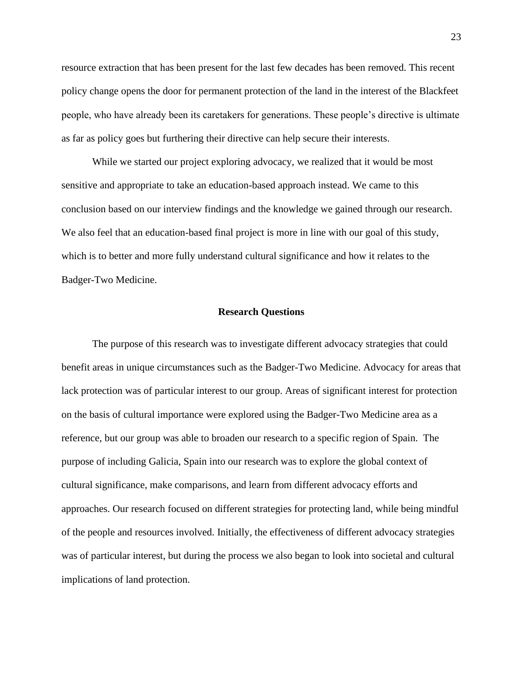resource extraction that has been present for the last few decades has been removed. This recent policy change opens the door for permanent protection of the land in the interest of the Blackfeet people, who have already been its caretakers for generations. These people's directive is ultimate as far as policy goes but furthering their directive can help secure their interests.

While we started our project exploring advocacy, we realized that it would be most sensitive and appropriate to take an education-based approach instead. We came to this conclusion based on our interview findings and the knowledge we gained through our research. We also feel that an education-based final project is more in line with our goal of this study, which is to better and more fully understand cultural significance and how it relates to the Badger-Two Medicine.

#### **Research Questions**

The purpose of this research was to investigate different advocacy strategies that could benefit areas in unique circumstances such as the Badger-Two Medicine. Advocacy for areas that lack protection was of particular interest to our group. Areas of significant interest for protection on the basis of cultural importance were explored using the Badger-Two Medicine area as a reference, but our group was able to broaden our research to a specific region of Spain. The purpose of including Galicia, Spain into our research was to explore the global context of cultural significance, make comparisons, and learn from different advocacy efforts and approaches. Our research focused on different strategies for protecting land, while being mindful of the people and resources involved. Initially, the effectiveness of different advocacy strategies was of particular interest, but during the process we also began to look into societal and cultural implications of land protection.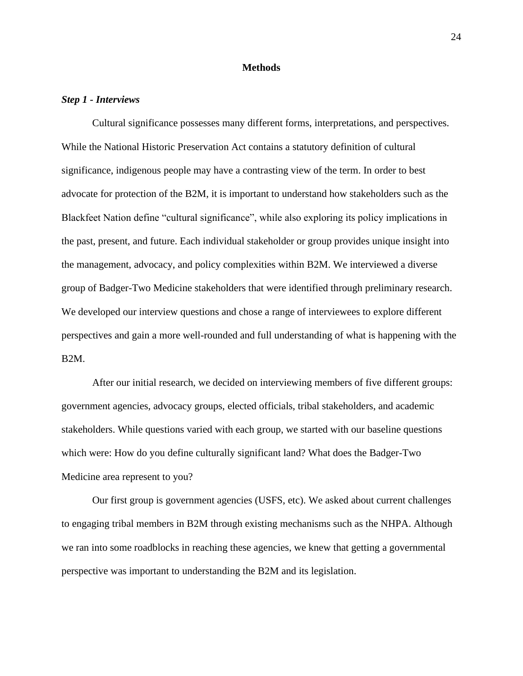#### **Methods**

#### *Step 1 - Interviews*

Cultural significance possesses many different forms, interpretations, and perspectives. While the National Historic Preservation Act contains a statutory definition of cultural significance, indigenous people may have a contrasting view of the term. In order to best advocate for protection of the B2M, it is important to understand how stakeholders such as the Blackfeet Nation define "cultural significance", while also exploring its policy implications in the past, present, and future. Each individual stakeholder or group provides unique insight into the management, advocacy, and policy complexities within B2M. We interviewed a diverse group of Badger-Two Medicine stakeholders that were identified through preliminary research. We developed our interview questions and chose a range of interviewees to explore different perspectives and gain a more well-rounded and full understanding of what is happening with the B2M.

After our initial research, we decided on interviewing members of five different groups: government agencies, advocacy groups, elected officials, tribal stakeholders, and academic stakeholders. While questions varied with each group, we started with our baseline questions which were: How do you define culturally significant land? What does the Badger-Two Medicine area represent to you?

Our first group is government agencies (USFS, etc). We asked about current challenges to engaging tribal members in B2M through existing mechanisms such as the NHPA. Although we ran into some roadblocks in reaching these agencies, we knew that getting a governmental perspective was important to understanding the B2M and its legislation.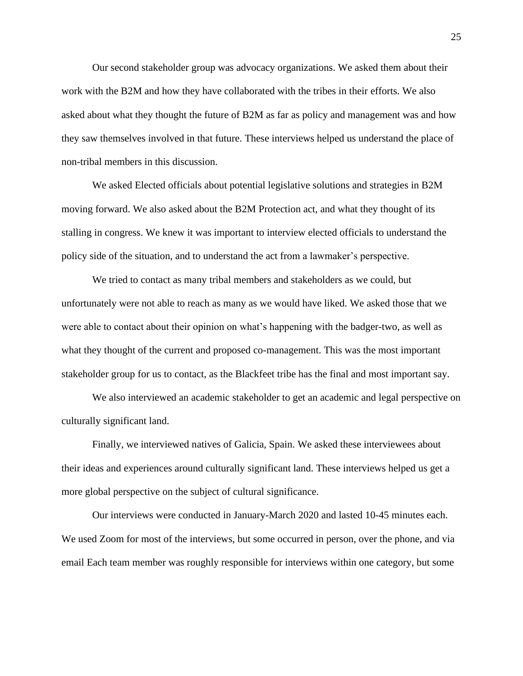Our second stakeholder group was advocacy organizations. We asked them about their work with the B2M and how they have collaborated with the tribes in their efforts. We also asked about what they thought the future of B2M as far as policy and management was and how they saw themselves involved in that future. These interviews helped us understand the place of non-tribal members in this discussion.

We asked Elected officials about potential legislative solutions and strategies in B2M moving forward. We also asked about the B2M Protection act, and what they thought of its stalling in congress. We knew it was important to interview elected officials to understand the policy side of the situation, and to understand the act from a lawmaker's perspective.

We tried to contact as many tribal members and stakeholders as we could, but unfortunately were not able to reach as many as we would have liked. We asked those that we were able to contact about their opinion on what's happening with the badger-two, as well as what they thought of the current and proposed co-management. This was the most important stakeholder group for us to contact, as the Blackfeet tribe has the final and most important say.

We also interviewed an academic stakeholder to get an academic and legal perspective on culturally significant land.

Finally, we interviewed natives of Galicia, Spain. We asked these interviewees about their ideas and experiences around culturally significant land. These interviews helped us get a more global perspective on the subject of cultural significance.

Our interviews were conducted in January-March 2020 and lasted 10-45 minutes each. We used Zoom for most of the interviews, but some occurred in person, over the phone, and via email Each team member was roughly responsible for interviews within one category, but some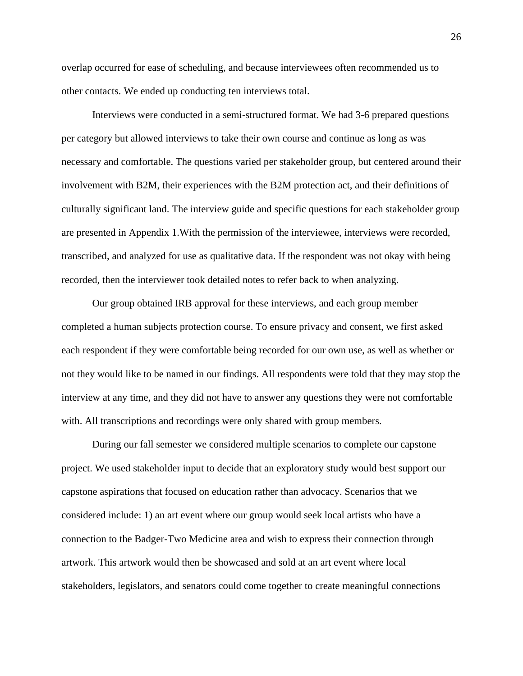overlap occurred for ease of scheduling, and because interviewees often recommended us to other contacts. We ended up conducting ten interviews total.

Interviews were conducted in a semi-structured format. We had 3-6 prepared questions per category but allowed interviews to take their own course and continue as long as was necessary and comfortable. The questions varied per stakeholder group, but centered around their involvement with B2M, their experiences with the B2M protection act, and their definitions of culturally significant land. The interview guide and specific questions for each stakeholder group are presented in Appendix 1.With the permission of the interviewee, interviews were recorded, transcribed, and analyzed for use as qualitative data. If the respondent was not okay with being recorded, then the interviewer took detailed notes to refer back to when analyzing.

Our group obtained IRB approval for these interviews, and each group member completed a human subjects protection course. To ensure privacy and consent, we first asked each respondent if they were comfortable being recorded for our own use, as well as whether or not they would like to be named in our findings. All respondents were told that they may stop the interview at any time, and they did not have to answer any questions they were not comfortable with. All transcriptions and recordings were only shared with group members.

During our fall semester we considered multiple scenarios to complete our capstone project. We used stakeholder input to decide that an exploratory study would best support our capstone aspirations that focused on education rather than advocacy. Scenarios that we considered include: 1) an art event where our group would seek local artists who have a connection to the Badger-Two Medicine area and wish to express their connection through artwork. This artwork would then be showcased and sold at an art event where local stakeholders, legislators, and senators could come together to create meaningful connections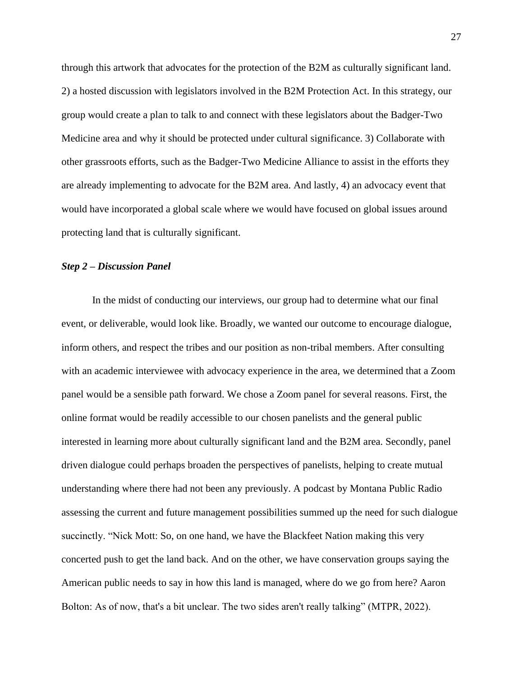through this artwork that advocates for the protection of the B2M as culturally significant land. 2) a hosted discussion with legislators involved in the B2M Protection Act. In this strategy, our group would create a plan to talk to and connect with these legislators about the Badger-Two Medicine area and why it should be protected under cultural significance. 3) Collaborate with other grassroots efforts, such as the Badger-Two Medicine Alliance to assist in the efforts they are already implementing to advocate for the B2M area. And lastly, 4) an advocacy event that would have incorporated a global scale where we would have focused on global issues around protecting land that is culturally significant.

#### *Step 2 – Discussion Panel*

In the midst of conducting our interviews, our group had to determine what our final event, or deliverable, would look like. Broadly, we wanted our outcome to encourage dialogue, inform others, and respect the tribes and our position as non-tribal members. After consulting with an academic interviewee with advocacy experience in the area, we determined that a Zoom panel would be a sensible path forward. We chose a Zoom panel for several reasons. First, the online format would be readily accessible to our chosen panelists and the general public interested in learning more about culturally significant land and the B2M area. Secondly, panel driven dialogue could perhaps broaden the perspectives of panelists, helping to create mutual understanding where there had not been any previously. A podcast by Montana Public Radio assessing the current and future management possibilities summed up the need for such dialogue succinctly. "Nick Mott: So, on one hand, we have the Blackfeet Nation making this very concerted push to get the land back. And on the other, we have conservation groups saying the American public needs to say in how this land is managed, where do we go from here? Aaron Bolton: As of now, that's a bit unclear. The two sides aren't really talking" (MTPR, 2022).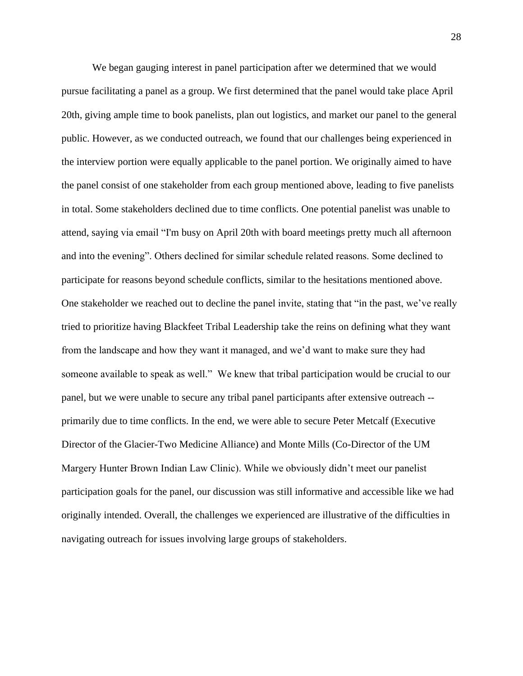We began gauging interest in panel participation after we determined that we would pursue facilitating a panel as a group. We first determined that the panel would take place April 20th, giving ample time to book panelists, plan out logistics, and market our panel to the general public. However, as we conducted outreach, we found that our challenges being experienced in the interview portion were equally applicable to the panel portion. We originally aimed to have the panel consist of one stakeholder from each group mentioned above, leading to five panelists in total. Some stakeholders declined due to time conflicts. One potential panelist was unable to attend, saying via email "I'm busy on April 20th with board meetings pretty much all afternoon and into the evening". Others declined for similar schedule related reasons. Some declined to participate for reasons beyond schedule conflicts, similar to the hesitations mentioned above. One stakeholder we reached out to decline the panel invite, stating that "in the past, we've really tried to prioritize having Blackfeet Tribal Leadership take the reins on defining what they want from the landscape and how they want it managed, and we'd want to make sure they had someone available to speak as well." We knew that tribal participation would be crucial to our panel, but we were unable to secure any tribal panel participants after extensive outreach - primarily due to time conflicts. In the end, we were able to secure Peter Metcalf (Executive Director of the Glacier-Two Medicine Alliance) and Monte Mills (Co-Director of the UM Margery Hunter Brown Indian Law Clinic). While we obviously didn't meet our panelist participation goals for the panel, our discussion was still informative and accessible like we had originally intended. Overall, the challenges we experienced are illustrative of the difficulties in navigating outreach for issues involving large groups of stakeholders.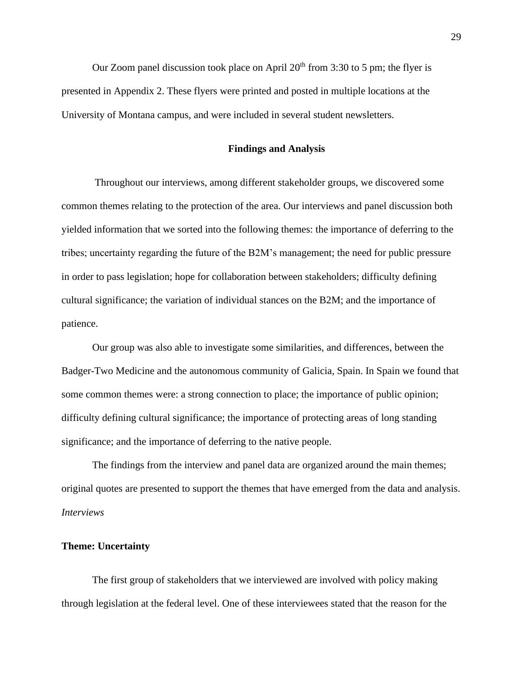Our Zoom panel discussion took place on April  $20<sup>th</sup>$  from 3:30 to 5 pm; the flyer is presented in Appendix 2. These flyers were printed and posted in multiple locations at the University of Montana campus, and were included in several student newsletters.

#### **Findings and Analysis**

Throughout our interviews, among different stakeholder groups, we discovered some common themes relating to the protection of the area. Our interviews and panel discussion both yielded information that we sorted into the following themes: the importance of deferring to the tribes; uncertainty regarding the future of the B2M's management; the need for public pressure in order to pass legislation; hope for collaboration between stakeholders; difficulty defining cultural significance; the variation of individual stances on the B2M; and the importance of patience.

Our group was also able to investigate some similarities, and differences, between the Badger-Two Medicine and the autonomous community of Galicia, Spain. In Spain we found that some common themes were: a strong connection to place; the importance of public opinion; difficulty defining cultural significance; the importance of protecting areas of long standing significance; and the importance of deferring to the native people.

The findings from the interview and panel data are organized around the main themes; original quotes are presented to support the themes that have emerged from the data and analysis. *Interviews*

#### **Theme: Uncertainty**

The first group of stakeholders that we interviewed are involved with policy making through legislation at the federal level. One of these interviewees stated that the reason for the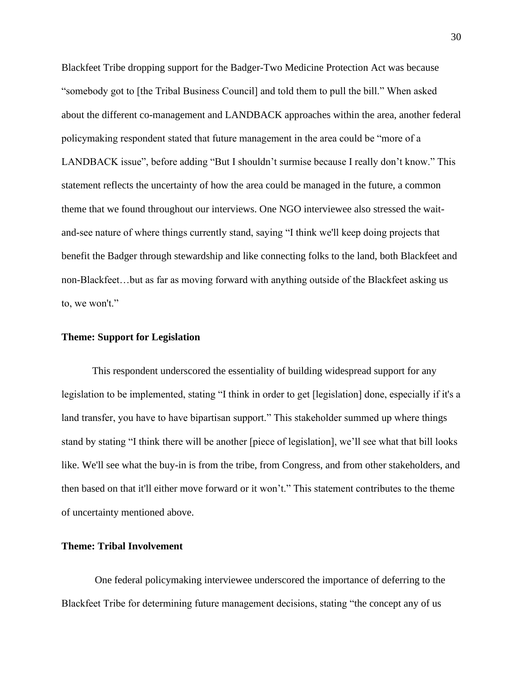Blackfeet Tribe dropping support for the Badger-Two Medicine Protection Act was because "somebody got to [the Tribal Business Council] and told them to pull the bill." When asked about the different co-management and LANDBACK approaches within the area, another federal policymaking respondent stated that future management in the area could be "more of a LANDBACK issue", before adding "But I shouldn't surmise because I really don't know." This statement reflects the uncertainty of how the area could be managed in the future, a common theme that we found throughout our interviews. One NGO interviewee also stressed the waitand-see nature of where things currently stand, saying "I think we'll keep doing projects that benefit the Badger through stewardship and like connecting folks to the land, both Blackfeet and non-Blackfeet…but as far as moving forward with anything outside of the Blackfeet asking us to, we won't."

#### **Theme: Support for Legislation**

This respondent underscored the essentiality of building widespread support for any legislation to be implemented, stating "I think in order to get [legislation] done, especially if it's a land transfer, you have to have bipartisan support." This stakeholder summed up where things stand by stating "I think there will be another [piece of legislation], we'll see what that bill looks like. We'll see what the buy-in is from the tribe, from Congress, and from other stakeholders, and then based on that it'll either move forward or it won't." This statement contributes to the theme of uncertainty mentioned above.

## **Theme: Tribal Involvement**

One federal policymaking interviewee underscored the importance of deferring to the Blackfeet Tribe for determining future management decisions, stating "the concept any of us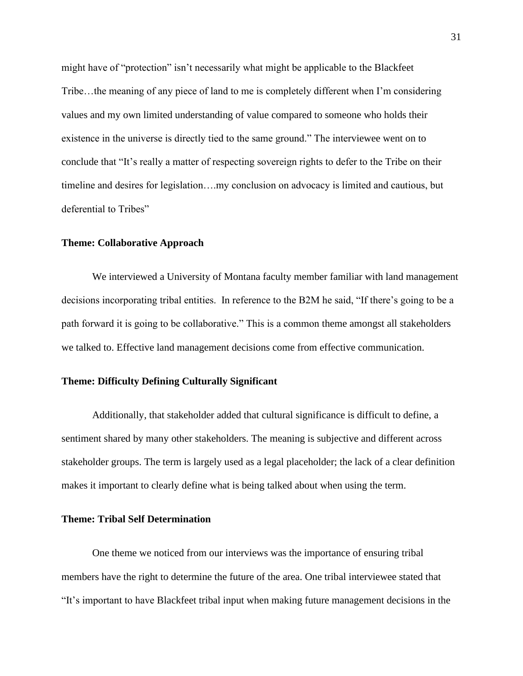might have of "protection" isn't necessarily what might be applicable to the Blackfeet Tribe…the meaning of any piece of land to me is completely different when I'm considering values and my own limited understanding of value compared to someone who holds their existence in the universe is directly tied to the same ground." The interviewee went on to conclude that "It's really a matter of respecting sovereign rights to defer to the Tribe on their timeline and desires for legislation….my conclusion on advocacy is limited and cautious, but deferential to Tribes"

#### **Theme: Collaborative Approach**

We interviewed a University of Montana faculty member familiar with land management decisions incorporating tribal entities. In reference to the B2M he said, "If there's going to be a path forward it is going to be collaborative." This is a common theme amongst all stakeholders we talked to. Effective land management decisions come from effective communication.

#### **Theme: Difficulty Defining Culturally Significant**

Additionally, that stakeholder added that cultural significance is difficult to define, a sentiment shared by many other stakeholders. The meaning is subjective and different across stakeholder groups. The term is largely used as a legal placeholder; the lack of a clear definition makes it important to clearly define what is being talked about when using the term.

#### **Theme: Tribal Self Determination**

One theme we noticed from our interviews was the importance of ensuring tribal members have the right to determine the future of the area. One tribal interviewee stated that "It's important to have Blackfeet tribal input when making future management decisions in the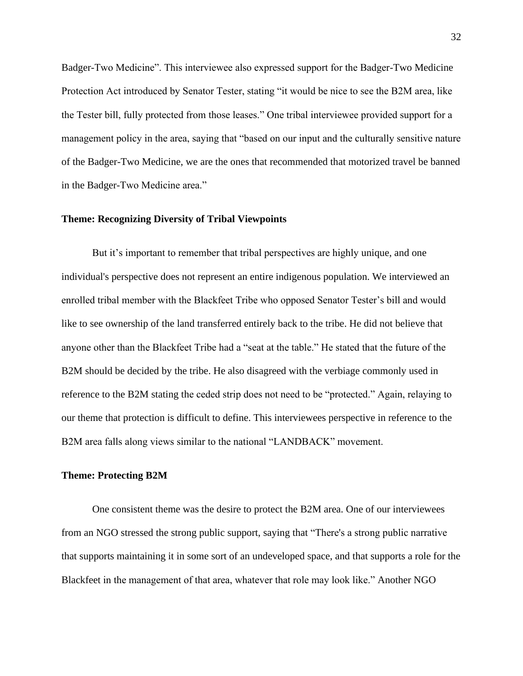Badger-Two Medicine". This interviewee also expressed support for the Badger-Two Medicine Protection Act introduced by Senator Tester, stating "it would be nice to see the B2M area, like the Tester bill, fully protected from those leases." One tribal interviewee provided support for a management policy in the area, saying that "based on our input and the culturally sensitive nature of the Badger-Two Medicine, we are the ones that recommended that motorized travel be banned in the Badger-Two Medicine area."

#### **Theme: Recognizing Diversity of Tribal Viewpoints**

But it's important to remember that tribal perspectives are highly unique, and one individual's perspective does not represent an entire indigenous population. We interviewed an enrolled tribal member with the Blackfeet Tribe who opposed Senator Tester's bill and would like to see ownership of the land transferred entirely back to the tribe. He did not believe that anyone other than the Blackfeet Tribe had a "seat at the table." He stated that the future of the B2M should be decided by the tribe. He also disagreed with the verbiage commonly used in reference to the B2M stating the ceded strip does not need to be "protected." Again, relaying to our theme that protection is difficult to define. This interviewees perspective in reference to the B2M area falls along views similar to the national "LANDBACK" movement.

#### **Theme: Protecting B2M**

One consistent theme was the desire to protect the B2M area. One of our interviewees from an NGO stressed the strong public support, saying that "There's a strong public narrative that supports maintaining it in some sort of an undeveloped space, and that supports a role for the Blackfeet in the management of that area, whatever that role may look like." Another NGO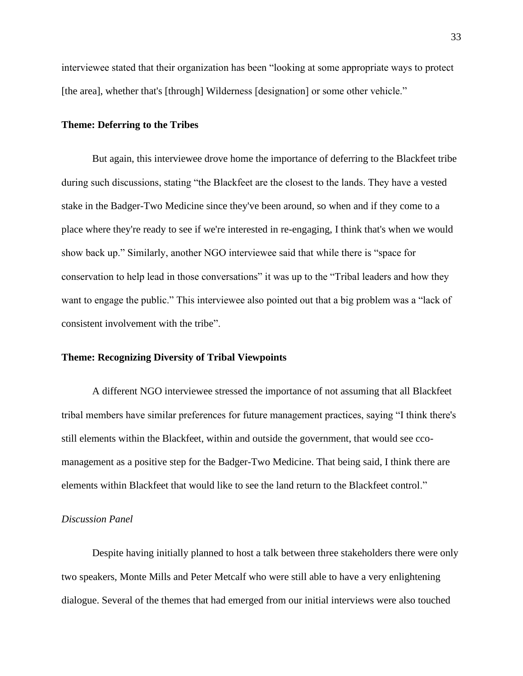interviewee stated that their organization has been "looking at some appropriate ways to protect [the area], whether that's [through] Wilderness [designation] or some other vehicle."

#### **Theme: Deferring to the Tribes**

But again, this interviewee drove home the importance of deferring to the Blackfeet tribe during such discussions, stating "the Blackfeet are the closest to the lands. They have a vested stake in the Badger-Two Medicine since they've been around, so when and if they come to a place where they're ready to see if we're interested in re-engaging, I think that's when we would show back up." Similarly, another NGO interviewee said that while there is "space for conservation to help lead in those conversations" it was up to the "Tribal leaders and how they want to engage the public." This interviewee also pointed out that a big problem was a "lack of consistent involvement with the tribe".

#### **Theme: Recognizing Diversity of Tribal Viewpoints**

A different NGO interviewee stressed the importance of not assuming that all Blackfeet tribal members have similar preferences for future management practices, saying "I think there's still elements within the Blackfeet, within and outside the government, that would see ccomanagement as a positive step for the Badger-Two Medicine. That being said, I think there are elements within Blackfeet that would like to see the land return to the Blackfeet control."

#### *Discussion Panel*

Despite having initially planned to host a talk between three stakeholders there were only two speakers, Monte Mills and Peter Metcalf who were still able to have a very enlightening dialogue. Several of the themes that had emerged from our initial interviews were also touched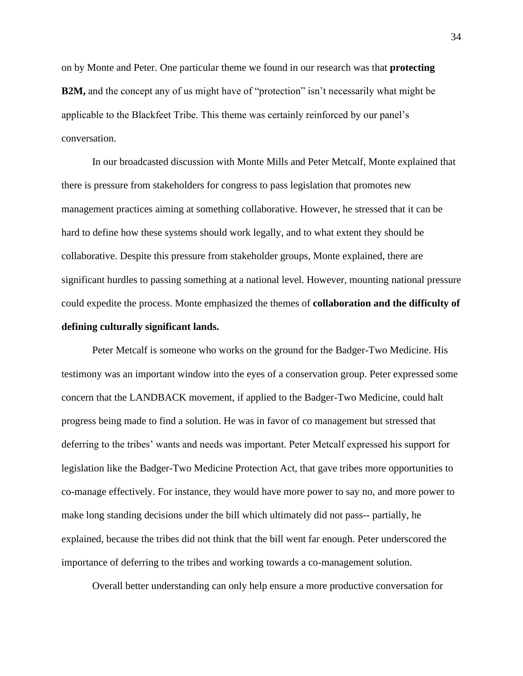on by Monte and Peter. One particular theme we found in our research was that **protecting B2M,** and the concept any of us might have of "protection" isn't necessarily what might be applicable to the Blackfeet Tribe. This theme was certainly reinforced by our panel's conversation.

In our broadcasted discussion with Monte Mills and Peter Metcalf, Monte explained that there is pressure from stakeholders for congress to pass legislation that promotes new management practices aiming at something collaborative. However, he stressed that it can be hard to define how these systems should work legally, and to what extent they should be collaborative. Despite this pressure from stakeholder groups, Monte explained, there are significant hurdles to passing something at a national level. However, mounting national pressure could expedite the process. Monte emphasized the themes of **collaboration and the difficulty of defining culturally significant lands.** 

Peter Metcalf is someone who works on the ground for the Badger-Two Medicine. His testimony was an important window into the eyes of a conservation group. Peter expressed some concern that the LANDBACK movement, if applied to the Badger-Two Medicine, could halt progress being made to find a solution. He was in favor of co management but stressed that deferring to the tribes' wants and needs was important. Peter Metcalf expressed his support for legislation like the Badger-Two Medicine Protection Act, that gave tribes more opportunities to co-manage effectively. For instance, they would have more power to say no, and more power to make long standing decisions under the bill which ultimately did not pass-- partially, he explained, because the tribes did not think that the bill went far enough. Peter underscored the importance of deferring to the tribes and working towards a co-management solution.

Overall better understanding can only help ensure a more productive conversation for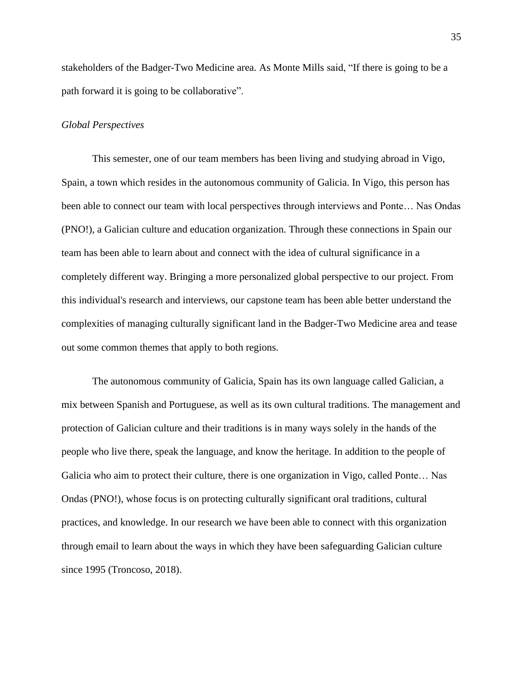stakeholders of the Badger-Two Medicine area. As Monte Mills said, "If there is going to be a path forward it is going to be collaborative".

#### *Global Perspectives*

This semester, one of our team members has been living and studying abroad in Vigo, Spain, a town which resides in the autonomous community of Galicia. In Vigo, this person has been able to connect our team with local perspectives through interviews and Ponte… Nas Ondas (PNO!), a Galician culture and education organization. Through these connections in Spain our team has been able to learn about and connect with the idea of cultural significance in a completely different way. Bringing a more personalized global perspective to our project. From this individual's research and interviews, our capstone team has been able better understand the complexities of managing culturally significant land in the Badger-Two Medicine area and tease out some common themes that apply to both regions.

The autonomous community of Galicia, Spain has its own language called Galician, a mix between Spanish and Portuguese, as well as its own cultural traditions. The management and protection of Galician culture and their traditions is in many ways solely in the hands of the people who live there, speak the language, and know the heritage. In addition to the people of Galicia who aim to protect their culture, there is one organization in Vigo, called Ponte… Nas Ondas (PNO!), whose focus is on protecting culturally significant oral traditions, cultural practices, and knowledge. In our research we have been able to connect with this organization through email to learn about the ways in which they have been safeguarding Galician culture since 1995 (Troncoso, 2018).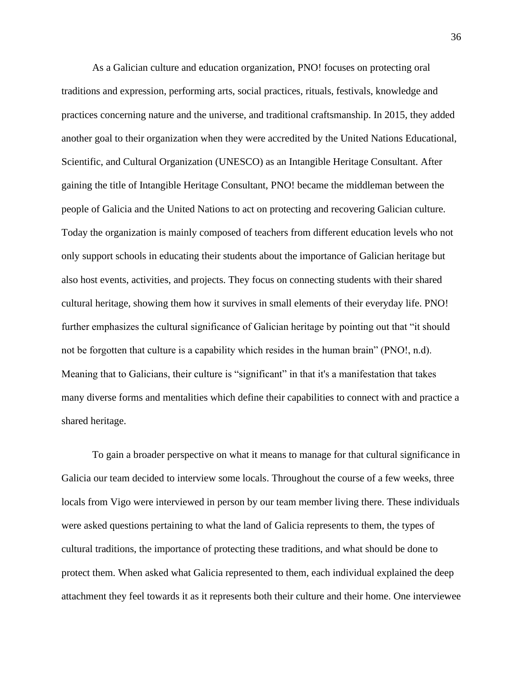As a Galician culture and education organization, PNO! focuses on protecting oral traditions and expression, performing arts, social practices, rituals, festivals, knowledge and practices concerning nature and the universe, and traditional craftsmanship. In 2015, they added another goal to their organization when they were accredited by the United Nations Educational, Scientific, and Cultural Organization (UNESCO) as an Intangible Heritage Consultant. After gaining the title of Intangible Heritage Consultant, PNO! became the middleman between the people of Galicia and the United Nations to act on protecting and recovering Galician culture. Today the organization is mainly composed of teachers from different education levels who not only support schools in educating their students about the importance of Galician heritage but also host events, activities, and projects. They focus on connecting students with their shared cultural heritage, showing them how it survives in small elements of their everyday life. PNO! further emphasizes the cultural significance of Galician heritage by pointing out that "it should not be forgotten that culture is a capability which resides in the human brain" (PNO!, n.d). Meaning that to Galicians, their culture is "significant" in that it's a manifestation that takes many diverse forms and mentalities which define their capabilities to connect with and practice a shared heritage.

To gain a broader perspective on what it means to manage for that cultural significance in Galicia our team decided to interview some locals. Throughout the course of a few weeks, three locals from Vigo were interviewed in person by our team member living there. These individuals were asked questions pertaining to what the land of Galicia represents to them, the types of cultural traditions, the importance of protecting these traditions, and what should be done to protect them. When asked what Galicia represented to them, each individual explained the deep attachment they feel towards it as it represents both their culture and their home. One interviewee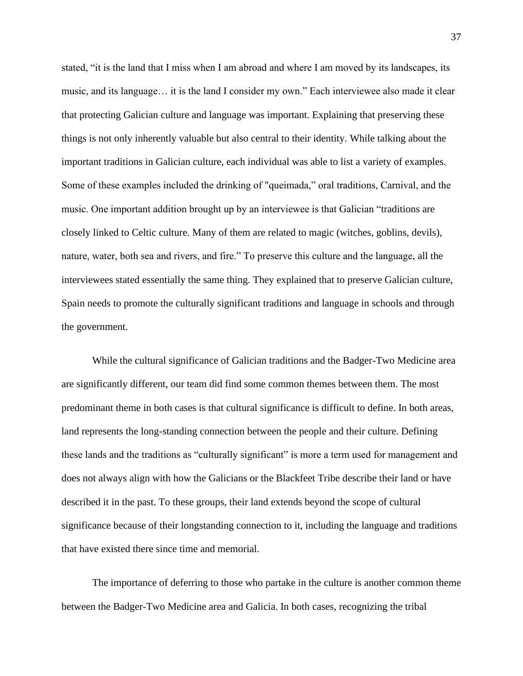stated, "it is the land that I miss when I am abroad and where I am moved by its landscapes, its music, and its language… it is the land I consider my own." Each interviewee also made it clear that protecting Galician culture and language was important. Explaining that preserving these things is not only inherently valuable but also central to their identity. While talking about the important traditions in Galician culture, each individual was able to list a variety of examples. Some of these examples included the drinking of "queimada," oral traditions, Carnival, and the music. One important addition brought up by an interviewee is that Galician "traditions are closely linked to Celtic culture. Many of them are related to magic (witches, goblins, devils), nature, water, both sea and rivers, and fire." To preserve this culture and the language, all the interviewees stated essentially the same thing. They explained that to preserve Galician culture, Spain needs to promote the culturally significant traditions and language in schools and through the government.

While the cultural significance of Galician traditions and the Badger-Two Medicine area are significantly different, our team did find some common themes between them. The most predominant theme in both cases is that cultural significance is difficult to define. In both areas, land represents the long-standing connection between the people and their culture. Defining these lands and the traditions as "culturally significant" is more a term used for management and does not always align with how the Galicians or the Blackfeet Tribe describe their land or have described it in the past. To these groups, their land extends beyond the scope of cultural significance because of their longstanding connection to it, including the language and traditions that have existed there since time and memorial.

The importance of deferring to those who partake in the culture is another common theme between the Badger-Two Medicine area and Galicia. In both cases, recognizing the tribal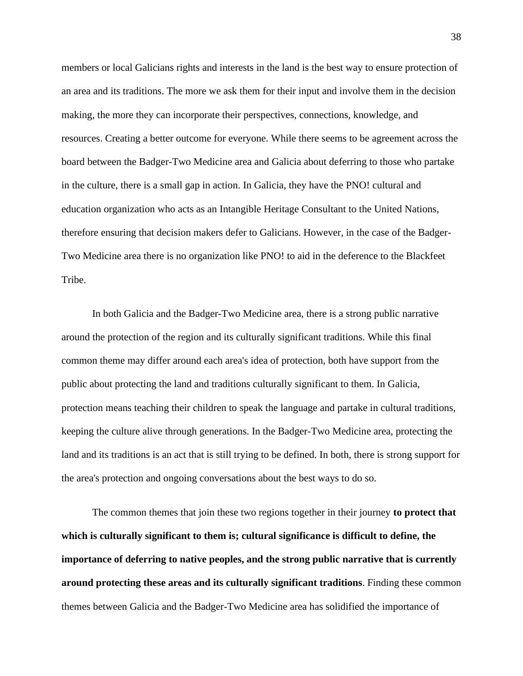members or local Galicians rights and interests in the land is the best way to ensure protection of an area and its traditions. The more we ask them for their input and involve them in the decision making, the more they can incorporate their perspectives, connections, knowledge, and resources. Creating a better outcome for everyone. While there seems to be agreement across the board between the Badger-Two Medicine area and Galicia about deferring to those who partake in the culture, there is a small gap in action. In Galicia, they have the PNO! cultural and education organization who acts as an Intangible Heritage Consultant to the United Nations, therefore ensuring that decision makers defer to Galicians. However, in the case of the Badger-Two Medicine area there is no organization like PNO! to aid in the deference to the Blackfeet Tribe.

In both Galicia and the Badger-Two Medicine area, there is a strong public narrative around the protection of the region and its culturally significant traditions. While this final common theme may differ around each area's idea of protection, both have support from the public about protecting the land and traditions culturally significant to them. In Galicia, protection means teaching their children to speak the language and partake in cultural traditions, keeping the culture alive through generations. In the Badger-Two Medicine area, protecting the land and its traditions is an act that is still trying to be defined. In both, there is strong support for the area's protection and ongoing conversations about the best ways to do so.

The common themes that join these two regions together in their journey **to protect that which is culturally significant to them is; cultural significance is difficult to define, the importance of deferring to native peoples, and the strong public narrative that is currently around protecting these areas and its culturally significant traditions**. Finding these common themes between Galicia and the Badger-Two Medicine area has solidified the importance of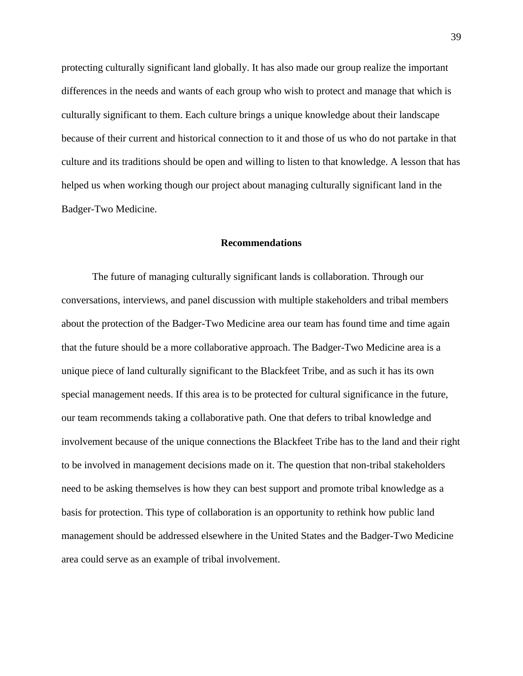protecting culturally significant land globally. It has also made our group realize the important differences in the needs and wants of each group who wish to protect and manage that which is culturally significant to them. Each culture brings a unique knowledge about their landscape because of their current and historical connection to it and those of us who do not partake in that culture and its traditions should be open and willing to listen to that knowledge. A lesson that has helped us when working though our project about managing culturally significant land in the Badger-Two Medicine.

#### **Recommendations**

The future of managing culturally significant lands is collaboration. Through our conversations, interviews, and panel discussion with multiple stakeholders and tribal members about the protection of the Badger-Two Medicine area our team has found time and time again that the future should be a more collaborative approach. The Badger-Two Medicine area is a unique piece of land culturally significant to the Blackfeet Tribe, and as such it has its own special management needs. If this area is to be protected for cultural significance in the future, our team recommends taking a collaborative path. One that defers to tribal knowledge and involvement because of the unique connections the Blackfeet Tribe has to the land and their right to be involved in management decisions made on it. The question that non-tribal stakeholders need to be asking themselves is how they can best support and promote tribal knowledge as a basis for protection. This type of collaboration is an opportunity to rethink how public land management should be addressed elsewhere in the United States and the Badger-Two Medicine area could serve as an example of tribal involvement.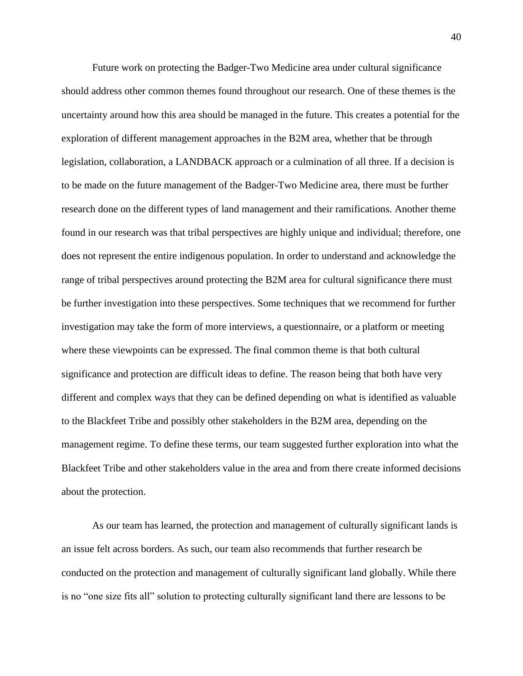Future work on protecting the Badger-Two Medicine area under cultural significance should address other common themes found throughout our research. One of these themes is the uncertainty around how this area should be managed in the future. This creates a potential for the exploration of different management approaches in the B2M area, whether that be through legislation, collaboration, a LANDBACK approach or a culmination of all three. If a decision is to be made on the future management of the Badger-Two Medicine area, there must be further research done on the different types of land management and their ramifications. Another theme found in our research was that tribal perspectives are highly unique and individual; therefore, one does not represent the entire indigenous population. In order to understand and acknowledge the range of tribal perspectives around protecting the B2M area for cultural significance there must be further investigation into these perspectives. Some techniques that we recommend for further investigation may take the form of more interviews, a questionnaire, or a platform or meeting where these viewpoints can be expressed. The final common theme is that both cultural significance and protection are difficult ideas to define. The reason being that both have very different and complex ways that they can be defined depending on what is identified as valuable to the Blackfeet Tribe and possibly other stakeholders in the B2M area, depending on the management regime. To define these terms, our team suggested further exploration into what the Blackfeet Tribe and other stakeholders value in the area and from there create informed decisions about the protection.

As our team has learned, the protection and management of culturally significant lands is an issue felt across borders. As such, our team also recommends that further research be conducted on the protection and management of culturally significant land globally. While there is no "one size fits all" solution to protecting culturally significant land there are lessons to be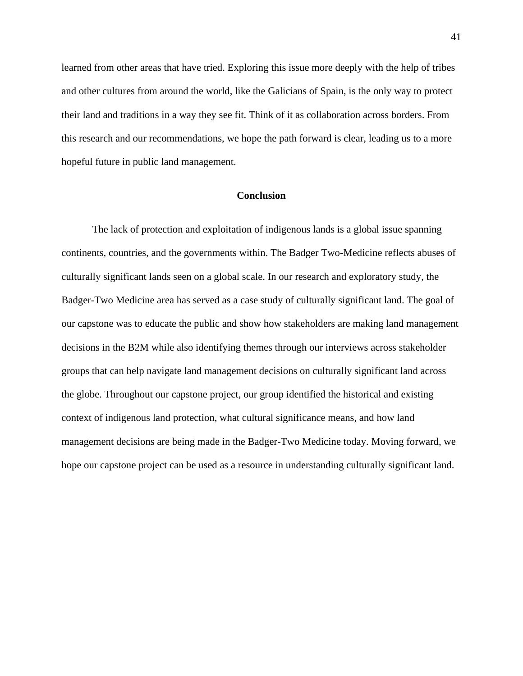learned from other areas that have tried. Exploring this issue more deeply with the help of tribes and other cultures from around the world, like the Galicians of Spain, is the only way to protect their land and traditions in a way they see fit. Think of it as collaboration across borders. From this research and our recommendations, we hope the path forward is clear, leading us to a more hopeful future in public land management.

#### **Conclusion**

The lack of protection and exploitation of indigenous lands is a global issue spanning continents, countries, and the governments within. The Badger Two-Medicine reflects abuses of culturally significant lands seen on a global scale. In our research and exploratory study, the Badger-Two Medicine area has served as a case study of culturally significant land. The goal of our capstone was to educate the public and show how stakeholders are making land management decisions in the B2M while also identifying themes through our interviews across stakeholder groups that can help navigate land management decisions on culturally significant land across the globe. Throughout our capstone project, our group identified the historical and existing context of indigenous land protection, what cultural significance means, and how land management decisions are being made in the Badger-Two Medicine today. Moving forward, we hope our capstone project can be used as a resource in understanding culturally significant land.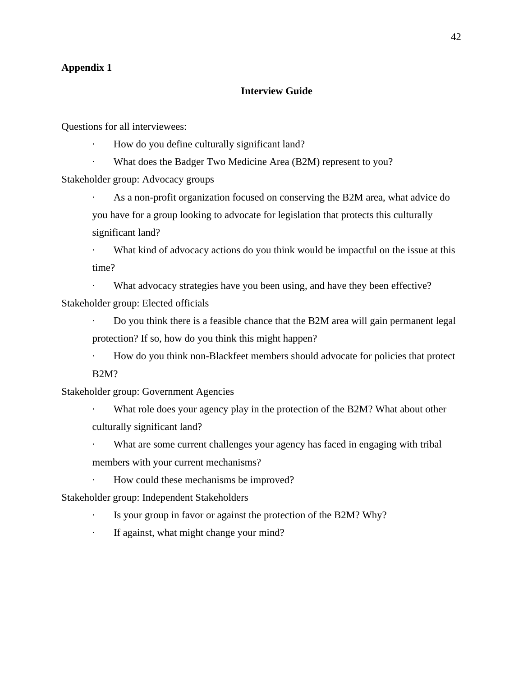### **Appendix 1**

### **Interview Guide**

Questions for all interviewees:

- · How do you define culturally significant land?
- · What does the Badger Two Medicine Area (B2M) represent to you?

Stakeholder group: Advocacy groups

As a non-profit organization focused on conserving the B2M area, what advice do you have for a group looking to advocate for legislation that protects this culturally significant land?

· What kind of advocacy actions do you think would be impactful on the issue at this time?

· What advocacy strategies have you been using, and have they been effective? Stakeholder group: Elected officials

· Do you think there is a feasible chance that the B2M area will gain permanent legal protection? If so, how do you think this might happen?

· How do you think non-Blackfeet members should advocate for policies that protect B2M?

Stakeholder group: Government Agencies

What role does your agency play in the protection of the B2M? What about other culturally significant land?

· What are some current challenges your agency has faced in engaging with tribal members with your current mechanisms?

· How could these mechanisms be improved?

Stakeholder group: Independent Stakeholders

- · Is your group in favor or against the protection of the B2M? Why?
- · If against, what might change your mind?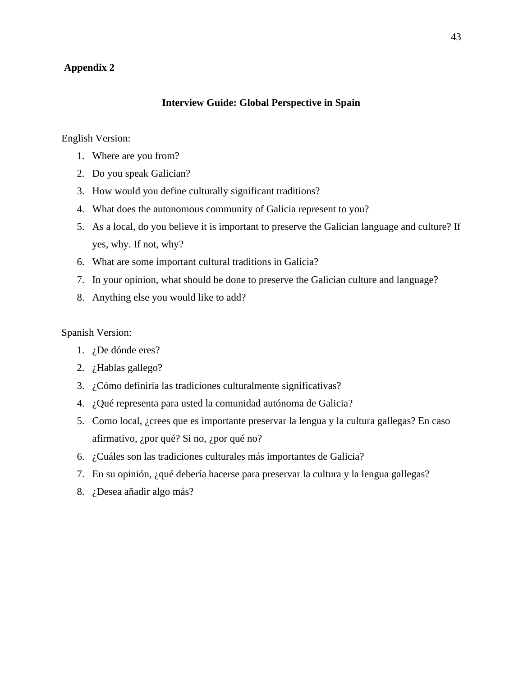# **Appendix 2**

#### **Interview Guide: Global Perspective in Spain**

English Version:

- 1. Where are you from?
- 2. Do you speak Galician?
- 3. How would you define culturally significant traditions?
- 4. What does the autonomous community of Galicia represent to you?
- 5. As a local, do you believe it is important to preserve the Galician language and culture? If yes, why. If not, why?
- 6. What are some important cultural traditions in Galicia?
- 7. In your opinion, what should be done to preserve the Galician culture and language?
- 8. Anything else you would like to add?

Spanish Version:

- 1. ¿De dónde eres?
- 2. ¿Hablas gallego?
- 3. ¿Cómo definiría las tradiciones culturalmente significativas?
- 4. ¿Qué representa para usted la comunidad autónoma de Galicia?
- 5. Como local, ¿crees que es importante preservar la lengua y la cultura gallegas? En caso afirmativo, ¿por qué? Si no, ¿por qué no?
- 6. ¿Cuáles son las tradiciones culturales más importantes de Galicia?
- 7. En su opinión, ¿qué debería hacerse para preservar la cultura y la lengua gallegas?
- 8. ¿Desea añadir algo más?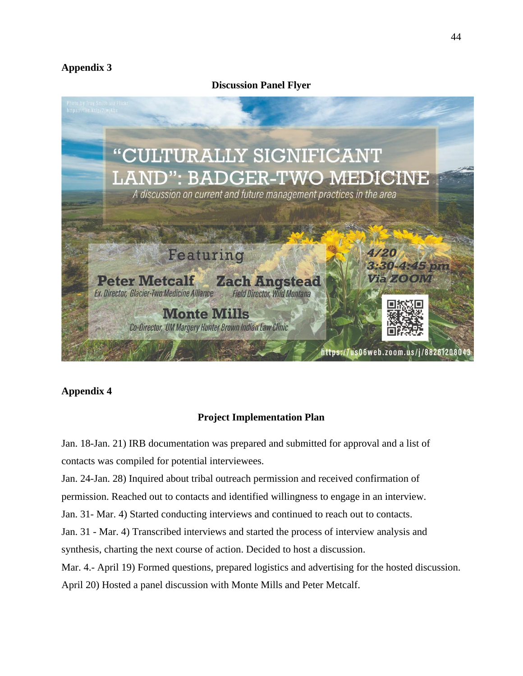# **Appendix 3**

**Discussion Panel Flyer** 



# **Appendix 4**

# **Project Implementation Plan**

Jan. 18-Jan. 21) IRB documentation was prepared and submitted for approval and a list of contacts was compiled for potential interviewees. Jan. 24-Jan. 28) Inquired about tribal outreach permission and received confirmation of permission. Reached out to contacts and identified willingness to engage in an interview. Jan. 31- Mar. 4) Started conducting interviews and continued to reach out to contacts. Jan. 31 - Mar. 4) Transcribed interviews and started the process of interview analysis and synthesis, charting the next course of action. Decided to host a discussion. Mar. 4.- April 19) Formed questions, prepared logistics and advertising for the hosted discussion. April 20) Hosted a panel discussion with Monte Mills and Peter Metcalf.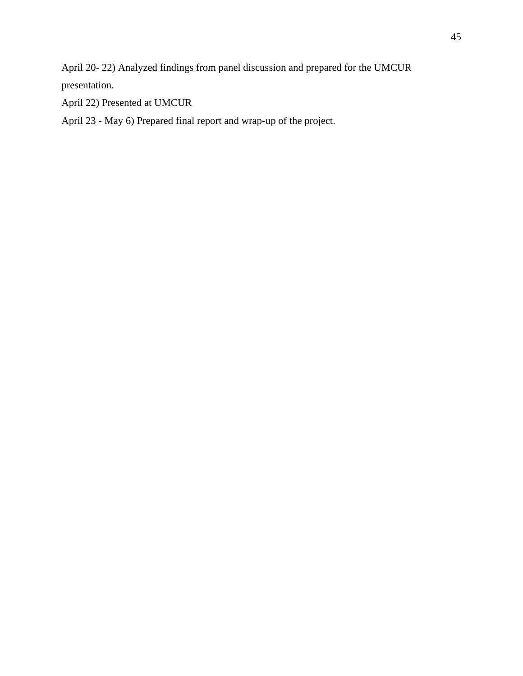April 20- 22) Analyzed findings from panel discussion and prepared for the UMCUR presentation.

April 22) Presented at UMCUR

April 23 - May 6) Prepared final report and wrap-up of the project.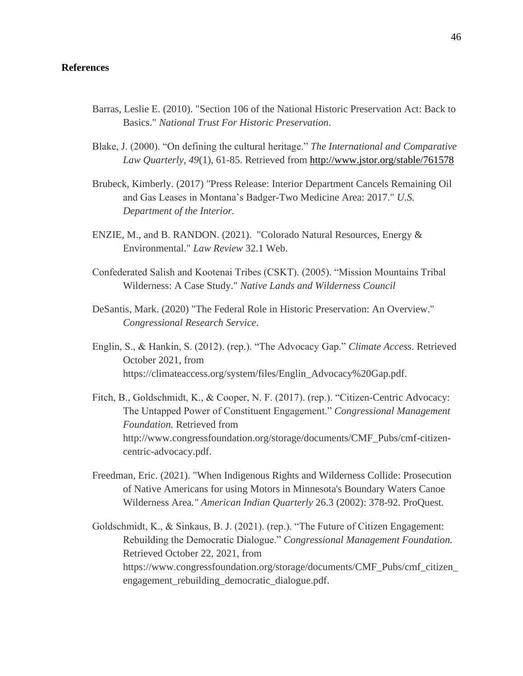### **References**

- Barras, Leslie E. (2010). "Section 106 of the National Historic Preservation Act: Back to Basics." *National Trust For Historic Preservation*.
- Blake, J. (2000). "On defining the cultural heritage." *The International and Comparative Law Quarterly, 49*(1), 61-85. Retrieved from <http://www.jstor.org/stable/761578>
- Brubeck, Kimberly. (2017) "Press Release: Interior Department Cancels Remaining Oil and Gas Leases in Montana's Badger-Two Medicine Area: 2017." *U.S. Department of the Interior.*
- ENZIE, M., and B. RANDON. (2021). "Colorado Natural Resources, Energy & Environmental." *Law Review* 32.1 Web.
- Confederated Salish and Kootenai Tribes (CSKT). (2005). "Mission Mountains Tribal Wilderness: A Case Study." *Native Lands and Wilderness Council*
- DeSantis, Mark. (2020) "The Federal Role in Historic Preservation: An Overview." *Congressional Research Service*.
- Englin, S., & Hankin, S. (2012). (rep.). "The Advocacy Gap." *Climate Access*. Retrieved October 2021, from https://climateaccess.org/system/files/Englin\_Advocacy%20Gap.pdf.
- Fitch, B., Goldschmidt, K., & Cooper, N. F. (2017). (rep.). "Citizen-Centric Advocacy: The Untapped Power of Constituent Engagement." *Congressional Management Foundation.* Retrieved from http://www.congressfoundation.org/storage/documents/CMF\_Pubs/cmf-citizencentric-advocacy.pdf.
- Freedman, Eric. (2021). "When Indigenous Rights and Wilderness Collide: Prosecution of Native Americans for using Motors in Minnesota's Boundary Waters Canoe Wilderness Area*." American Indian Quarterly* 26.3 (2002): 378-92. ProQuest.
- Goldschmidt, K., & Sinkaus, B. J. (2021). (rep.). "The Future of Citizen Engagement: Rebuilding the Democratic Dialogue." *Congressional Management Foundation.* Retrieved October 22, 2021, from https://www.congressfoundation.org/storage/documents/CMF\_Pubs/cmf\_citizen\_ engagement\_rebuilding\_democratic\_dialogue.pdf.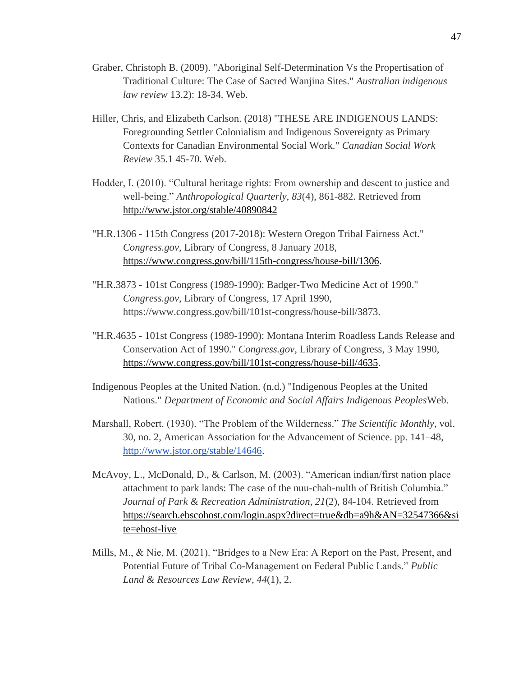- Graber, Christoph B. (2009). "Aboriginal Self-Determination Vs the Propertisation of Traditional Culture: The Case of Sacred Wanjina Sites." *Australian indigenous law review* 13.2): 18-34. Web.
- Hiller, Chris, and Elizabeth Carlson. (2018) "THESE ARE INDIGENOUS LANDS: Foregrounding Settler Colonialism and Indigenous Sovereignty as Primary Contexts for Canadian Environmental Social Work." *Canadian Social Work Review* 35.1 45-70. Web.
- Hodder, I. (2010). "Cultural heritage rights: From ownership and descent to justice and well-being." *Anthropological Quarterly, 83*(4), 861-882. Retrieved fro[m](http://www.jstor.org/stable/40890842) <http://www.jstor.org/stable/40890842>
- "H.R.1306 115th Congress (2017-2018): Western Oregon Tribal Fairness Act." *Congress.gov*, Library of Congress, 8 January 2018[,](https://www.congress.gov/bill/115th-congress/house-bill/1306) [https://www.congress.gov/bill/115th-congress/house-bill/1306.](https://www.congress.gov/bill/115th-congress/house-bill/1306)
- "H.R.3873 101st Congress (1989-1990): Badger-Two Medicine Act of 1990." *Congress.gov*, Library of Congress, 17 April 1990, https://www.congress.gov/bill/101st-congress/house-bill/3873.
- "H.R.4635 101st Congress (1989-1990): Montana Interim Roadless Lands Release and Conservation Act of 1990." *Congress.gov*, Library of Congress, 3 May 1990[,](https://www.congress.gov/bill/101st-congress/house-bill/4635) [https://www.congress.gov/bill/101st-congress/house-bill/4635.](https://www.congress.gov/bill/101st-congress/house-bill/4635)
- Indigenous Peoples at the United Nation. (n.d.) "Indigenous Peoples at the United Nations." *Department of Economic and Social Affairs Indigenous Peoples*Web.
- Marshall, Robert. (1930). "The Problem of the Wilderness." *The Scientific Monthly*, vol. 30, no. 2, American Association for the Advancement of Science. pp. 141–48[,](http://www.jstor.org/stable/14646) [http://www.jstor.org/stable/14646.](http://www.jstor.org/stable/14646)
- McAvoy, L., McDonald, D., & Carlson, M. (2003). "American indian/first nation place attachment to park lands: The case of the nuu-chah-nulth of British Columbia." *Journal of Park & Recreation Administration, 21*(2), 84-104. Retrieved fro[m](https://search.ebscohost.com/login.aspx?direct=true&db=a9h&AN=32547366&site=ehost-live) [https://search.ebscohost.com/login.aspx?direct=true&db=a9h&AN=32547366&si](https://search.ebscohost.com/login.aspx?direct=true&db=a9h&AN=32547366&site=ehost-live) [te=ehost-live](https://search.ebscohost.com/login.aspx?direct=true&db=a9h&AN=32547366&site=ehost-live)
- Mills, M., & Nie, M. (2021). "Bridges to a New Era: A Report on the Past, Present, and Potential Future of Tribal Co-Management on Federal Public Lands." *Public Land & Resources Law Review*, *44*(1), 2.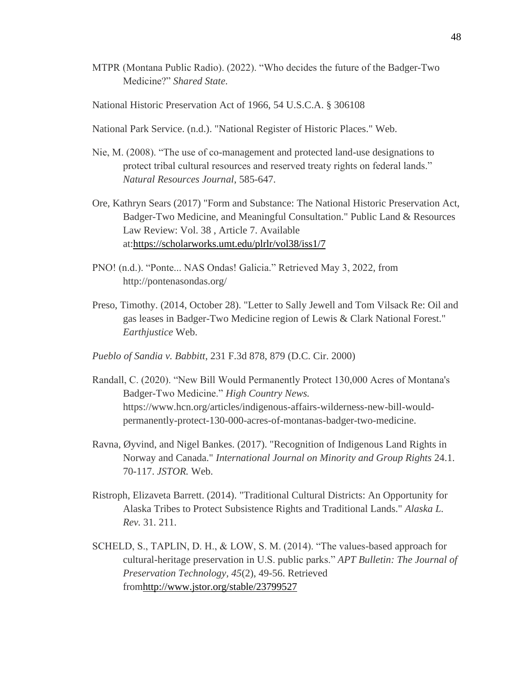MTPR (Montana Public Radio). (2022). "Who decides the future of the Badger-Two Medicine?" *Shared State.* 

National Historic Preservation Act of 1966, 54 U.S.C.A. § 306108

National Park Service. (n.d.). "National Register of Historic Places." Web.

- Nie, M. (2008). "The use of co-management and protected land-use designations to protect tribal cultural resources and reserved treaty rights on federal lands." *Natural Resources Journal*, 585-647.
- Ore, Kathryn Sears (2017) "Form and Substance: The National Historic Preservation Act, Badger-Two Medicine, and Meaningful Consultation." Public Land & Resources Law Review: Vol. 38 , Article 7. Available at[:https://scholarworks.umt.edu/plrlr/vol38/iss1/7](https://scholarworks.umt.edu/plrlr/vol38/iss1/7)
- PNO! (n.d.). "Ponte... NAS Ondas! Galicia." Retrieved May 3, 2022, from http://pontenasondas.org/
- Preso, Timothy. (2014, October 28). "Letter to Sally Jewell and Tom Vilsack Re: Oil and gas leases in Badger-Two Medicine region of Lewis & Clark National Forest." *Earthjustice* Web.
- *Pueblo of Sandia v. Babbitt*, 231 F.3d 878, 879 (D.C. Cir. 2000)
- Randall, C. (2020). "New Bill Would Permanently Protect 130,000 Acres of Montana's Badger-Two Medicine." *High Country News.*  https://www.hcn.org/articles/indigenous-affairs-wilderness-new-bill-wouldpermanently-protect-130-000-acres-of-montanas-badger-two-medicine.
- Ravna, Øyvind, and Nigel Bankes. (2017). "Recognition of Indigenous Land Rights in Norway and Canada." *International Journal on Minority and Group Rights* 24.1. 70-117. *JSTOR.* Web.
- Ristroph, Elizaveta Barrett. (2014). "Traditional Cultural Districts: An Opportunity for Alaska Tribes to Protect Subsistence Rights and Traditional Lands." *Alaska L. Rev.* 31. 211.
- SCHELD, S., TAPLIN, D. H., & LOW, S. M. (2014). "The values-based approach for cultural-heritage preservation in U.S. public parks." *APT Bulletin: The Journal of Preservation Technology, 45*(2), 49-56. Retrieved fro[mhttp://www.jstor.org/stable/23799527](http://www.jstor.org/stable/23799527)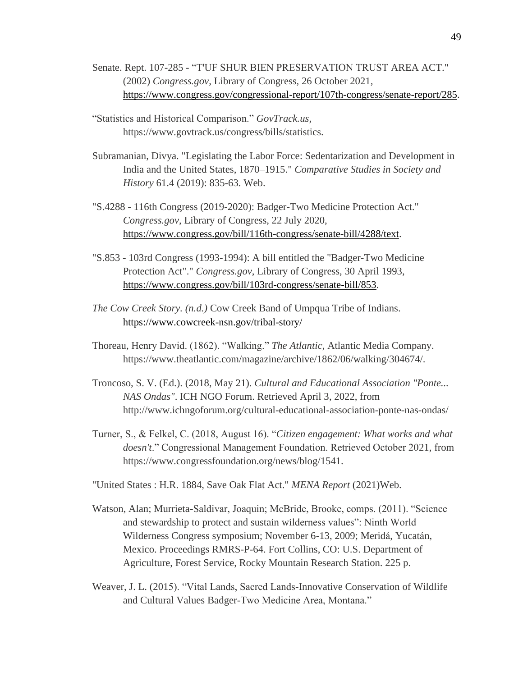- Senate. Rept. 107-285 "T'UF SHUR BIEN PRESERVATION TRUST AREA ACT." (2002) *Congress.gov*, Library of Congress, 26 October 2021[,](https://www.congress.gov/congressional-report/107th-congress/senate-report/285) [https://www.congress.gov/congressional-report/107th-congress/senate-report/285.](https://www.congress.gov/congressional-report/107th-congress/senate-report/285)
- "Statistics and Historical Comparison." *GovTrack.us*, https://www.govtrack.us/congress/bills/statistics.
- Subramanian, Divya. "Legislating the Labor Force: Sedentarization and Development in India and the United States, 1870–1915." *Comparative Studies in Society and History* 61.4 (2019): 835-63. Web.
- "S.4288 116th Congress (2019-2020): Badger-Two Medicine Protection Act." *Congress.gov*, Library of Congress, 22 July 2020[,](https://www.congress.gov/bill/116th-congress/senate-bill/4288/text) [https://www.congress.gov/bill/116th-congress/senate-bill/4288/text.](https://www.congress.gov/bill/116th-congress/senate-bill/4288/text)
- "S.853 103rd Congress (1993-1994): A bill entitled the "Badger-Two Medicine Protection Act"." *Congress.gov*, Library of Congress, 30 April 1993[,](https://www.congress.gov/bill/103rd-congress/senate-bill/853) [https://www.congress.gov/bill/103rd-congress/senate-bill/853.](https://www.congress.gov/bill/103rd-congress/senate-bill/853)
- *The Cow Creek Story. (n.d.)* Cow Creek Band of Umpqua Tribe of Indians[.](https://www.cowcreek-nsn.gov/tribal-story/) <https://www.cowcreek-nsn.gov/tribal-story/>
- Thoreau, Henry David. (1862). "Walking." *The Atlantic*, Atlantic Media Company. https://www.theatlantic.com/magazine/archive/1862/06/walking/304674/.
- Troncoso, S. V. (Ed.). (2018, May 21). *Cultural and Educational Association "Ponte... NAS Ondas"*. ICH NGO Forum. Retrieved April 3, 2022, from http://www.ichngoforum.org/cultural-educational-association-ponte-nas-ondas/
- Turner, S., & Felkel, C. (2018, August 16). "*Citizen engagement: What works and what doesn't*." Congressional Management Foundation. Retrieved October 2021, from https://www.congressfoundation.org/news/blog/1541.
- "United States : H.R. 1884, Save Oak Flat Act." *MENA Report* (2021)Web.
- Watson, Alan; Murrieta-Saldivar, Joaquin; McBride, Brooke, comps. (2011). "Science and stewardship to protect and sustain wilderness values": Ninth World Wilderness Congress symposium; November 6-13, 2009; Meridá, Yucatán, Mexico. Proceedings RMRS-P-64. Fort Collins, CO: U.S. Department of Agriculture, Forest Service, Rocky Mountain Research Station. 225 p.
- Weaver, J. L. (2015). "Vital Lands, Sacred Lands-Innovative Conservation of Wildlife and Cultural Values Badger-Two Medicine Area, Montana."